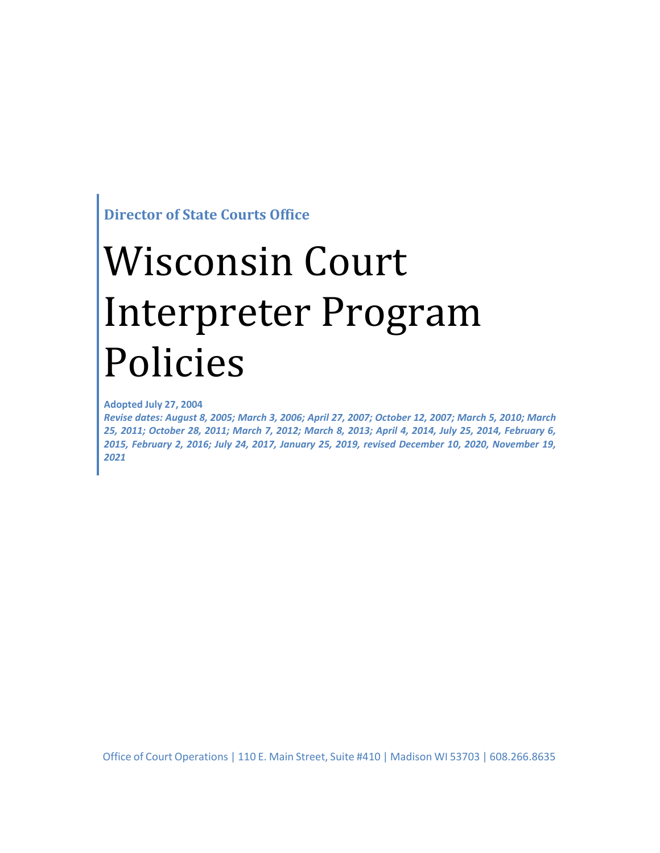**Director of State Courts Office**

# Wisconsin Court Interpreter Program Policies

**Adopted July 27, 2004**

*Revise dates: August 8, 2005; March 3, 2006; April 27, 2007; October 12, 2007; March 5, 2010; March 25, 2011; October 28, 2011; March 7, 2012; March 8, 2013; April 4, 2014, July 25, 2014, February 6, 2015, February 2, 2016; July 24, 2017, January 25, 2019, revised December 10, 2020, November 19, 2021*

Office of Court Operations | 110 E. Main Street, Suite #410 | Madison WI 53703 | 608.266.8635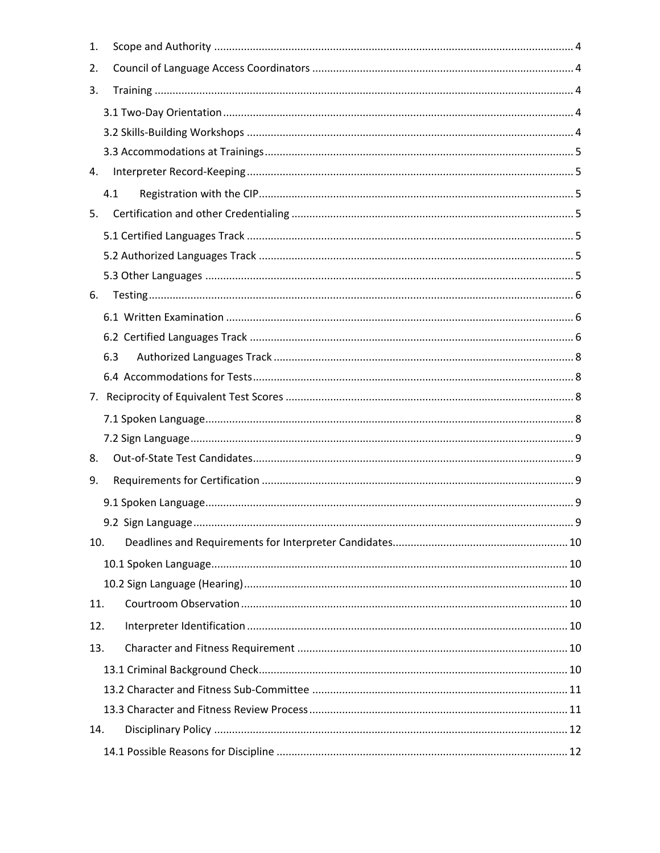| 1.  |     |
|-----|-----|
| 2.  |     |
| 3.  |     |
|     |     |
|     |     |
|     |     |
| 4.  |     |
|     | 4.1 |
| 5.  |     |
|     |     |
|     |     |
|     |     |
| 6.  |     |
|     |     |
|     |     |
|     | 6.3 |
|     |     |
|     |     |
|     |     |
|     |     |
| 8.  |     |
| 9.  |     |
|     |     |
|     |     |
| 10. |     |
|     |     |
|     |     |
| 11. |     |
| 12. |     |
| 13. |     |
|     |     |
|     |     |
|     |     |
| 14. |     |
|     |     |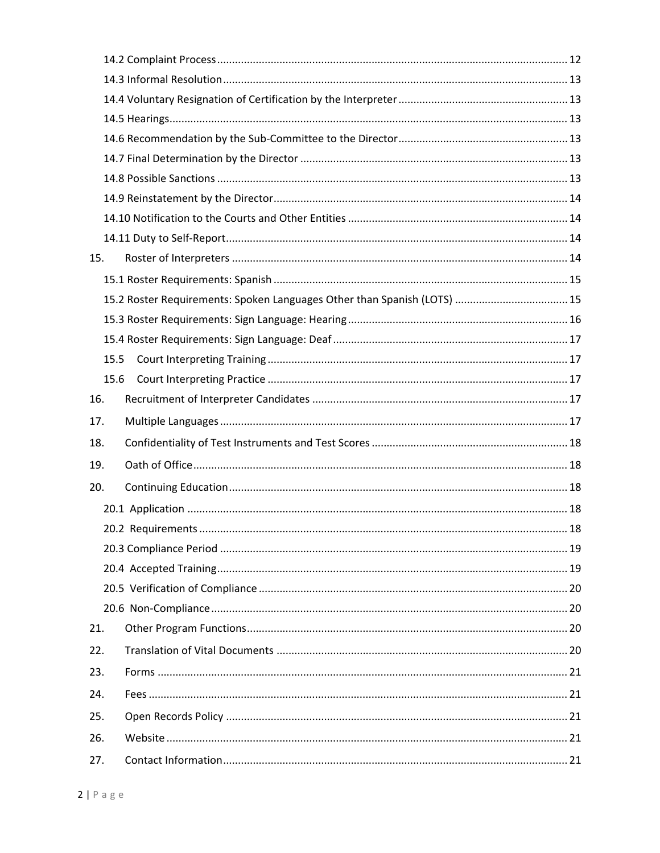| 15.  |  |  |  |  |  |
|------|--|--|--|--|--|
|      |  |  |  |  |  |
|      |  |  |  |  |  |
|      |  |  |  |  |  |
|      |  |  |  |  |  |
| 15.5 |  |  |  |  |  |
| 15.6 |  |  |  |  |  |
| 16.  |  |  |  |  |  |
|      |  |  |  |  |  |
| 17.  |  |  |  |  |  |
| 18.  |  |  |  |  |  |
| 19.  |  |  |  |  |  |
| 20.  |  |  |  |  |  |
|      |  |  |  |  |  |
|      |  |  |  |  |  |
|      |  |  |  |  |  |
|      |  |  |  |  |  |
|      |  |  |  |  |  |
|      |  |  |  |  |  |
| 21.  |  |  |  |  |  |
| 22.  |  |  |  |  |  |
| 23.  |  |  |  |  |  |
| 24.  |  |  |  |  |  |
| 25.  |  |  |  |  |  |
| 26.  |  |  |  |  |  |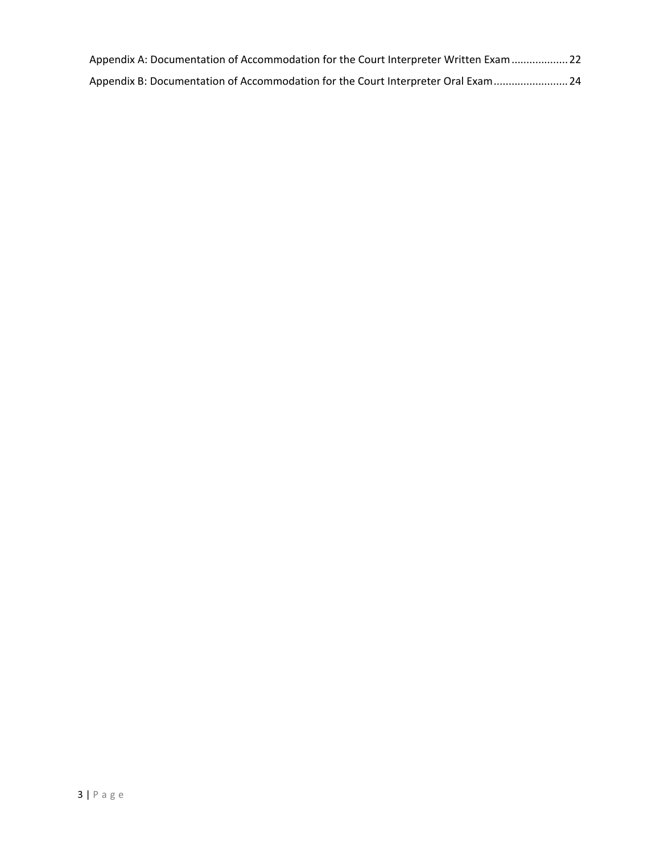| Appendix A: Documentation of Accommodation for the Court Interpreter Written Exam  22 |  |
|---------------------------------------------------------------------------------------|--|
| Appendix B: Documentation of Accommodation for the Court Interpreter Oral Exam  24    |  |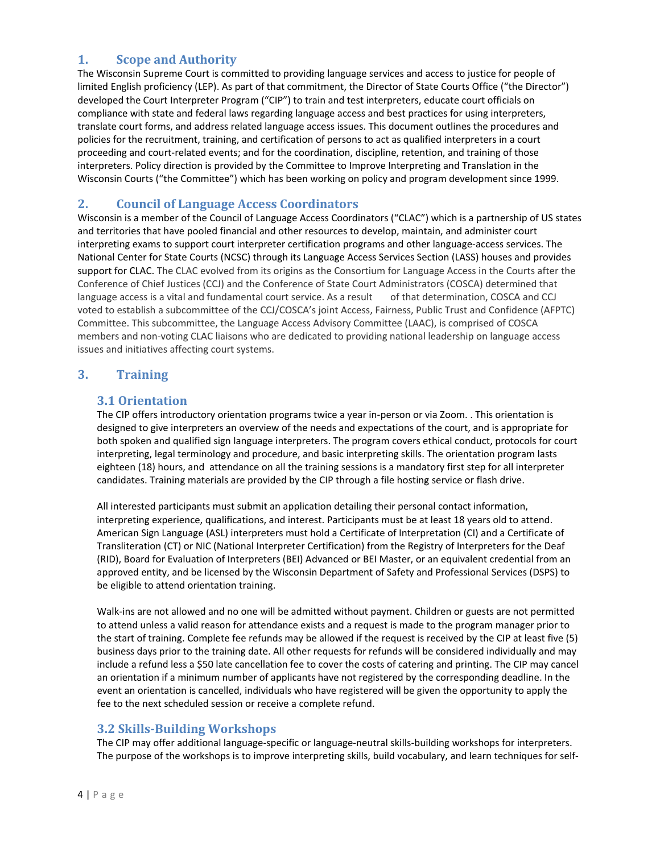## <span id="page-4-0"></span>**1. Scope and Authority**

The Wisconsin Supreme Court is committed to providing language services and access to justice for people of limited English proficiency (LEP). As part of that commitment, the Director of State Courts Office ("the Director") developed the Court Interpreter Program ("CIP") to train and test interpreters, educate court officials on compliance with state and federal laws regarding language access and best practices for using interpreters, translate court forms, and address related language access issues. This document outlines the procedures and policies for the recruitment, training, and certification of persons to act as qualified interpreters in a court proceeding and court-related events; and for the coordination, discipline, retention, and training of those interpreters. Policy direction is provided by the Committee to Improve Interpreting and Translation in the Wisconsin Courts ("the Committee") which has been working on policy and program development since 1999.

## <span id="page-4-1"></span>**2. Council of Language Access Coordinators**

Wisconsin is a member of the Council of Language Access Coordinators ("CLAC") which is a partnership of US states and territories that have pooled financial and other resources to develop, maintain, and administer court interpreting exams to support court interpreter certification programs and other language-access services. The National Center for State Courts (NCSC) through its Language Access Services Section (LASS) houses and provides support for CLAC. The CLAC evolved from its origins as the Consortium for Language Access in the Courts after the Conference of Chief Justices (CCJ) and the Conference of State Court Administrators (COSCA) determined that language access is a vital and fundamental court service. As a result of that determination, COSCA and CCJ voted to establish a subcommittee of the CCJ/COSCA's joint Access, Fairness, Public Trust and Confidence (AFPTC) Committee. This subcommittee, the Language Access Advisory Committee (LAAC), is comprised of COSCA members and non-voting CLAC liaisons who are dedicated to providing national leadership on language access issues and initiatives affecting court systems.

#### <span id="page-4-3"></span><span id="page-4-2"></span>**3. Training**

#### **3.1 Orientation**

The CIP offers introductory orientation programs twice a year in-person or via Zoom. . This orientation is designed to give interpreters an overview of the needs and expectations of the court, and is appropriate for both spoken and qualified sign language interpreters. The program covers ethical conduct, protocols for court interpreting, legal terminology and procedure, and basic interpreting skills. The orientation program lasts eighteen (18) hours, and attendance on all the training sessions is a mandatory first step for all interpreter candidates. Training materials are provided by the CIP through a file hosting service or flash drive.

All interested participants must submit an application detailing their personal contact information, interpreting experience, qualifications, and interest. Participants must be at least 18 years old to attend. American Sign Language (ASL) interpreters must hold a Certificate of Interpretation (CI) and a Certificate of Transliteration (CT) or NIC (National Interpreter Certification) from the Registry of Interpreters for the Deaf (RID), Board for Evaluation of Interpreters (BEI) Advanced or BEI Master, or an equivalent credential from an approved entity, and be licensed by the Wisconsin Department of Safety and Professional Services (DSPS) to be eligible to attend orientation training.

Walk-ins are not allowed and no one will be admitted without payment. Children or guests are not permitted to attend unless a valid reason for attendance exists and a request is made to the program manager prior to the start of training. Complete fee refunds may be allowed if the request is received by the CIP at least five (5) business days prior to the training date. All other requests for refunds will be considered individually and may include a refund less a \$50 late cancellation fee to cover the costs of catering and printing. The CIP may cancel an orientation if a minimum number of applicants have not registered by the corresponding deadline. In the event an orientation is cancelled, individuals who have registered will be given the opportunity to apply the fee to the next scheduled session or receive a complete refund.

#### <span id="page-4-4"></span>**3.2 Skills-Building Workshops**

The CIP may offer additional language-specific or language-neutral skills-building workshops for interpreters. The purpose of the workshops is to improve interpreting skills, build vocabulary, and learn techniques for self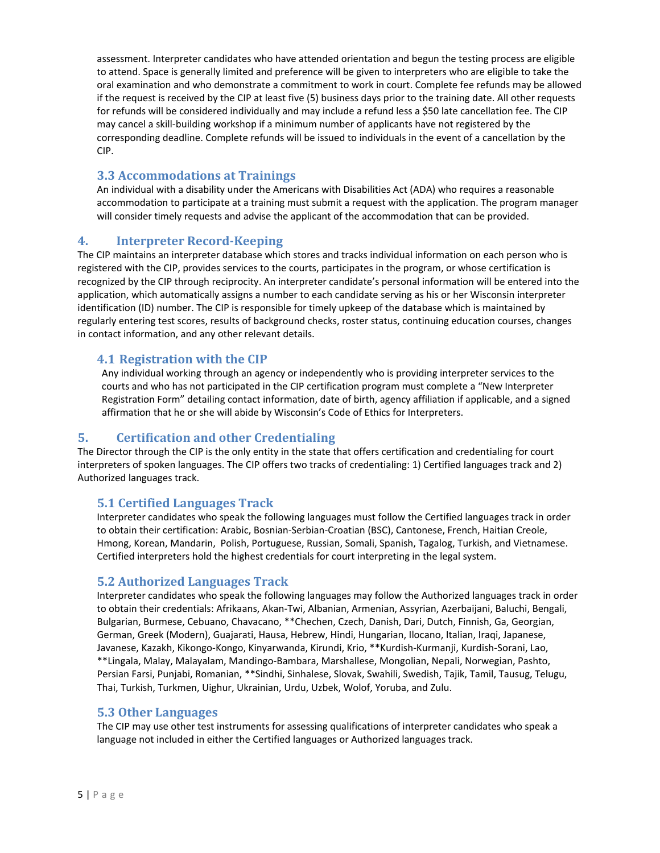assessment. Interpreter candidates who have attended orientation and begun the testing process are eligible to attend. Space is generally limited and preference will be given to interpreters who are eligible to take the oral examination and who demonstrate a commitment to work in court. Complete fee refunds may be allowed if the request is received by the CIP at least five (5) business days prior to the training date. All other requests for refunds will be considered individually and may include a refund less a \$50 late cancellation fee. The CIP may cancel a skill-building workshop if a minimum number of applicants have not registered by the corresponding deadline. Complete refunds will be issued to individuals in the event of a cancellation by the CIP.

#### <span id="page-5-0"></span>**3.3 Accommodations at Trainings**

An individual with a disability under the Americans with Disabilities Act (ADA) who requires a reasonable accommodation to participate at a training must submit a request with the application. The program manager will consider timely requests and advise the applicant of the accommodation that can be provided.

#### <span id="page-5-1"></span>**4. Interpreter Record-Keeping**

The CIP maintains an interpreter database which stores and tracks individual information on each person who is registered with the CIP, provides services to the courts, participates in the program, or whose certification is recognized by the CIP through reciprocity. An interpreter candidate's personal information will be entered into the application, which automatically assigns a number to each candidate serving as his or her Wisconsin interpreter identification (ID) number. The CIP is responsible for timely upkeep of the database which is maintained by regularly entering test scores, results of background checks, roster status, continuing education courses, changes in contact information, and any other relevant details.

#### <span id="page-5-2"></span>**4.1 Registration with the CIP**

Any individual working through an agency or independently who is providing interpreter services to the courts and who has not participated in the CIP certification program must complete a "New Interpreter Registration Form" detailing contact information, date of birth, agency affiliation if applicable, and a signed affirmation that he or she will abide by Wisconsin's Code of Ethics for Interpreters.

#### <span id="page-5-3"></span>**5. Certification and other Credentialing**

The Director through the CIP is the only entity in the state that offers certification and credentialing for court interpreters of spoken languages. The CIP offers two tracks of credentialing: 1) Certified languages track and 2) Authorized languages track.

#### <span id="page-5-4"></span>**5.1 Certified Languages Track**

Interpreter candidates who speak the following languages must follow the Certified languages track in order to obtain their certification: Arabic, Bosnian-Serbian-Croatian (BSC), Cantonese, French, Haitian Creole, Hmong, Korean, Mandarin, Polish, Portuguese, Russian, Somali, Spanish, Tagalog, Turkish, and Vietnamese. Certified interpreters hold the highest credentials for court interpreting in the legal system.

#### <span id="page-5-5"></span>**5.2 Authorized Languages Track**

Interpreter candidates who speak the following languages may follow the Authorized languages track in order to obtain their credentials: Afrikaans, Akan-Twi, Albanian, Armenian, Assyrian, Azerbaijani, Baluchi, Bengali, Bulgarian, Burmese, Cebuano, Chavacano, \*\*Chechen, Czech, Danish, Dari, Dutch, Finnish, Ga, Georgian, German, Greek (Modern), Guajarati, Hausa, Hebrew, Hindi, Hungarian, Ilocano, Italian, Iraqi, Japanese, Javanese, Kazakh, Kikongo-Kongo, Kinyarwanda, Kirundi, Krio, \*\*Kurdish-Kurmanji, Kurdish-Sorani, Lao, \*\*Lingala, Malay, Malayalam, Mandingo-Bambara, Marshallese, Mongolian, Nepali, Norwegian, Pashto, Persian Farsi, Punjabi, Romanian, \*\*Sindhi, Sinhalese, Slovak, Swahili, Swedish, Tajik, Tamil, Tausug, Telugu, Thai, Turkish, Turkmen, Uighur, Ukrainian, Urdu, Uzbek, Wolof, Yoruba, and Zulu.

#### <span id="page-5-6"></span>**5.3 Other Languages**

The CIP may use other test instruments for assessing qualifications of interpreter candidates who speak a language not included in either the Certified languages or Authorized languages track.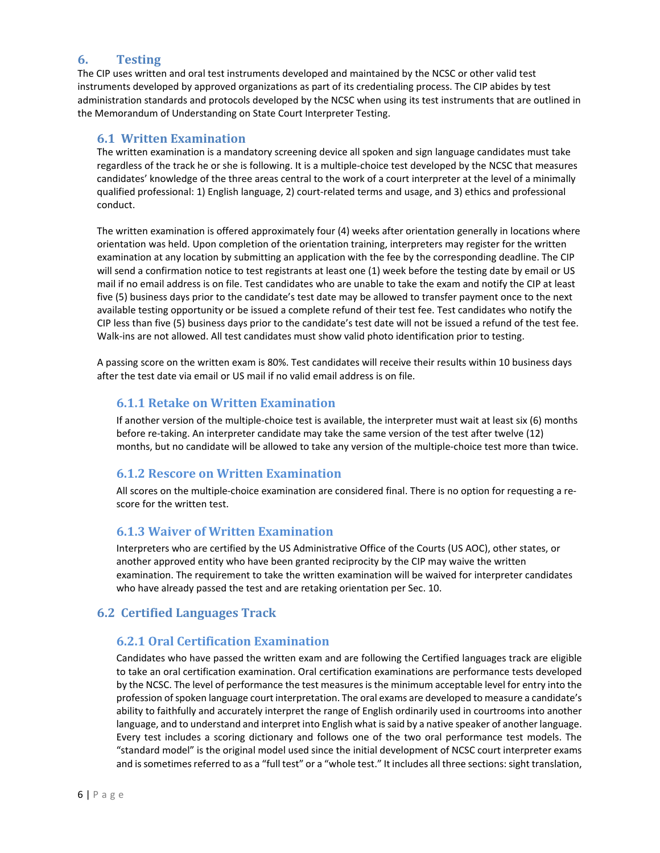## <span id="page-6-0"></span>**6. Testing**

The CIP uses written and oral test instruments developed and maintained by the NCSC or other valid test instruments developed by approved organizations as part of its credentialing process. The CIP abides by test administration standards and protocols developed by the NCSC when using its test instruments that are outlined in the Memorandum of Understanding on State Court Interpreter Testing.

#### <span id="page-6-1"></span>**6.1 Written Examination**

The written examination is a mandatory screening device all spoken and sign language candidates must take regardless of the track he or she is following. It is a multiple-choice test developed by the NCSC that measures candidates' knowledge of the three areas central to the work of a court interpreter at the level of a minimally qualified professional: 1) English language, 2) court-related terms and usage, and 3) ethics and professional conduct.

The written examination is offered approximately four (4) weeks after orientation generally in locations where orientation was held. Upon completion of the orientation training, interpreters may register for the written examination at any location by submitting an application with the fee by the corresponding deadline. The CIP will send a confirmation notice to test registrants at least one (1) week before the testing date by email or US mail if no email address is on file. Test candidates who are unable to take the exam and notify the CIP at least five (5) business days prior to the candidate's test date may be allowed to transfer payment once to the next available testing opportunity or be issued a complete refund of their test fee. Test candidates who notify the CIP less than five (5) business days prior to the candidate's test date will not be issued a refund of the test fee. Walk-ins are not allowed. All test candidates must show valid photo identification prior to testing.

A passing score on the written exam is 80%. Test candidates will receive their results within 10 business days after the test date via email or US mail if no valid email address is on file.

## **6.1.1 Retake on Written Examination**

If another version of the multiple-choice test is available, the interpreter must wait at least six (6) months before re-taking. An interpreter candidate may take the same version of the test after twelve (12) months, but no candidate will be allowed to take any version of the multiple-choice test more than twice.

## **6.1.2 Rescore on Written Examination**

All scores on the multiple-choice examination are considered final. There is no option for requesting a rescore for the written test.

#### **6.1.3 Waiver of Written Examination**

Interpreters who are certified by the US Administrative Office of the Courts (US AOC), other states, or another approved entity who have been granted reciprocity by the CIP may waive the written examination. The requirement to take the written examination will be waived for interpreter candidates who have already passed the test and are retaking orientation per Sec. 10.

#### <span id="page-6-2"></span>**6.2 Certified Languages Track**

#### **6.2.1 Oral Certification Examination**

Candidates who have passed the written exam and are following the Certified languages track are eligible to take an oral certification examination. Oral certification examinations are performance tests developed by the NCSC. The level of performance the test measures is the minimum acceptable level for entry into the profession of spoken language court interpretation. The oral exams are developed to measure a candidate's ability to faithfully and accurately interpret the range of English ordinarily used in courtrooms into another language, and to understand and interpret into English what is said by a native speaker of another language. Every test includes a scoring dictionary and follows one of the two oral performance test models. The "standard model" is the original model used since the initial development of NCSC court interpreter exams and is sometimes referred to as a "full test" or a "whole test." It includes all three sections: sight translation,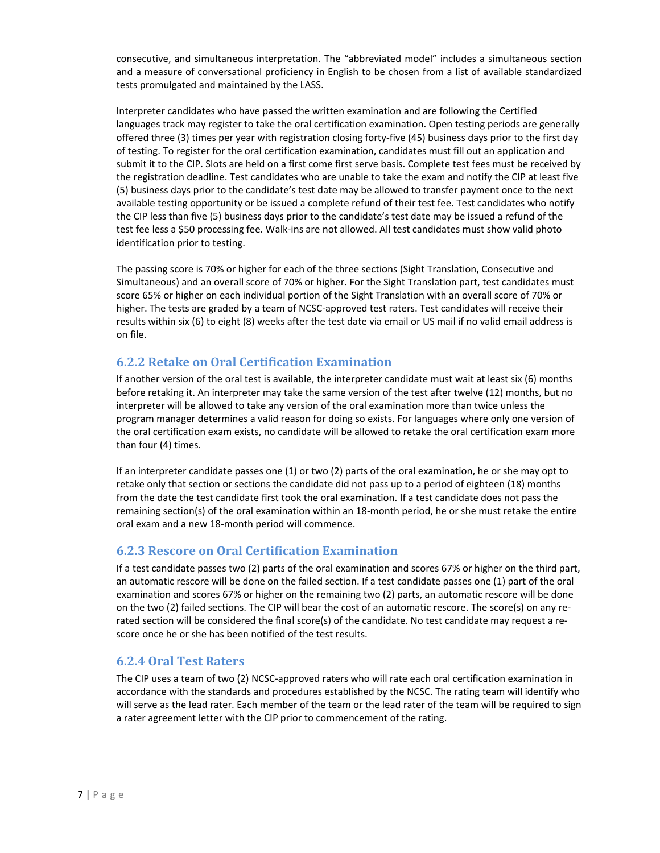consecutive, and simultaneous interpretation. The "abbreviated model" includes a simultaneous section and a measure of conversational proficiency in English to be chosen from a list of available standardized tests promulgated and maintained by the LASS.

Interpreter candidates who have passed the written examination and are following the Certified languages track may register to take the oral certification examination. Open testing periods are generally offered three (3) times per year with registration closing forty-five (45) business days prior to the first day of testing. To register for the oral certification examination, candidates must fill out an application and submit it to the CIP. Slots are held on a first come first serve basis. Complete test fees must be received by the registration deadline. Test candidates who are unable to take the exam and notify the CIP at least five (5) business days prior to the candidate's test date may be allowed to transfer payment once to the next available testing opportunity or be issued a complete refund of their test fee. Test candidates who notify the CIP less than five (5) business days prior to the candidate's test date may be issued a refund of the test fee less a \$50 processing fee. Walk-ins are not allowed. All test candidates must show valid photo identification prior to testing.

The passing score is 70% or higher for each of the three sections (Sight Translation, Consecutive and Simultaneous) and an overall score of 70% or higher. For the Sight Translation part, test candidates must score 65% or higher on each individual portion of the Sight Translation with an overall score of 70% or higher. The tests are graded by a team of NCSC-approved test raters. Test candidates will receive their results within six (6) to eight (8) weeks after the test date via email or US mail if no valid email address is on file.

## **6.2.2 Retake on Oral Certification Examination**

If another version of the oral test is available, the interpreter candidate must wait at least six (6) months before retaking it. An interpreter may take the same version of the test after twelve (12) months, but no interpreter will be allowed to take any version of the oral examination more than twice unless the program manager determines a valid reason for doing so exists. For languages where only one version of the oral certification exam exists, no candidate will be allowed to retake the oral certification exam more than four (4) times.

If an interpreter candidate passes one (1) or two (2) parts of the oral examination, he or she may opt to retake only that section or sections the candidate did not pass up to a period of eighteen (18) months from the date the test candidate first took the oral examination. If a test candidate does not pass the remaining section(s) of the oral examination within an 18-month period, he or she must retake the entire oral exam and a new 18-month period will commence.

## **6.2.3 Rescore on Oral Certification Examination**

If a test candidate passes two (2) parts of the oral examination and scores 67% or higher on the third part, an automatic rescore will be done on the failed section. If a test candidate passes one (1) part of the oral examination and scores 67% or higher on the remaining two (2) parts, an automatic rescore will be done on the two (2) failed sections. The CIP will bear the cost of an automatic rescore. The score(s) on any rerated section will be considered the final score(s) of the candidate. No test candidate may request a rescore once he or she has been notified of the test results.

## **6.2.4 Oral Test Raters**

The CIP uses a team of two (2) NCSC-approved raters who will rate each oral certification examination in accordance with the standards and procedures established by the NCSC. The rating team will identify who will serve as the lead rater. Each member of the team or the lead rater of the team will be required to sign a rater agreement letter with the CIP prior to commencement of the rating.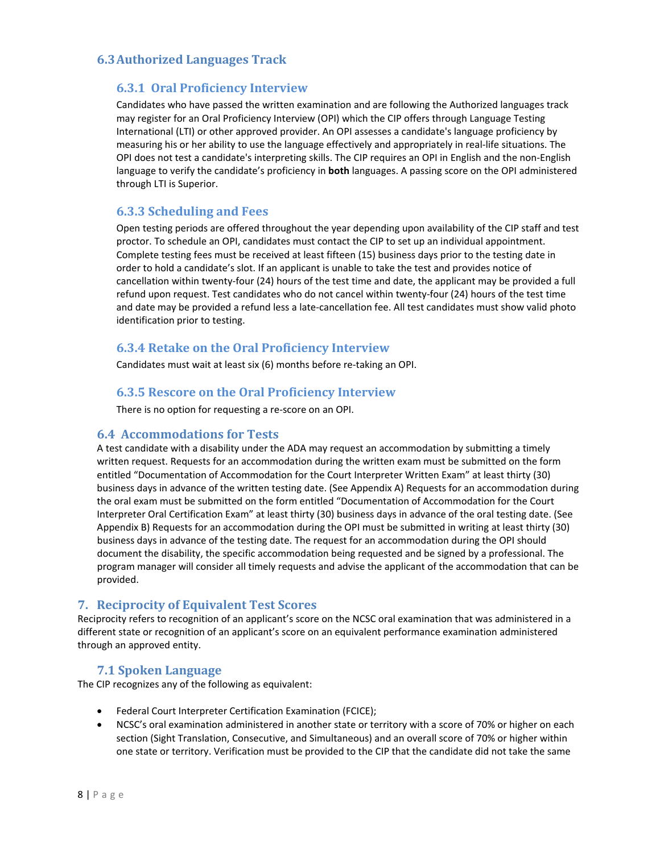#### <span id="page-8-0"></span>**6.3Authorized Languages Track**

#### **6.3.1 Oral Proficiency Interview**

Candidates who have passed the written examination and are following the Authorized languages track may register for an Oral Proficiency Interview (OPI) which the CIP offers through Language Testing International (LTI) or other approved provider. An OPI assesses a candidate's language proficiency by measuring his or her ability to use the language effectively and appropriately in real-life situations. The OPI does not test a candidate's interpreting skills. The CIP requires an OPI in English and the non-English language to verify the candidate's proficiency in **both** languages. A passing score on the OPI administered through LTI is Superior.

#### **6.3.3 Scheduling and Fees**

Open testing periods are offered throughout the year depending upon availability of the CIP staff and test proctor. To schedule an OPI, candidates must contact the CIP to set up an individual appointment. Complete testing fees must be received at least fifteen (15) business days prior to the testing date in order to hold a candidate's slot. If an applicant is unable to take the test and provides notice of cancellation within twenty-four (24) hours of the test time and date, the applicant may be provided a full refund upon request. Test candidates who do not cancel within twenty-four (24) hours of the test time and date may be provided a refund less a late-cancellation fee. All test candidates must show valid photo identification prior to testing.

#### **6.3.4 Retake on the Oral Proficiency Interview**

Candidates must wait at least six (6) months before re-taking an OPI.

#### **6.3.5 Rescore on the Oral Proficiency Interview**

There is no option for requesting a re-score on an OPI.

#### <span id="page-8-1"></span>**6.4 Accommodations for Tests**

A test candidate with a disability under the ADA may request an accommodation by submitting a timely written request. Requests for an accommodation during the written exam must be submitted on the form entitled "Documentation of Accommodation for the Court Interpreter Written Exam" at least thirty (30) business days in advance of the written testing date. (See Appendix A) Requests for an accommodation during the oral exam must be submitted on the form entitled "Documentation of Accommodation for the Court Interpreter Oral Certification Exam" at least thirty (30) business days in advance of the oral testing date. (See Appendix B) Requests for an accommodation during the OPI must be submitted in writing at least thirty (30) business days in advance of the testing date. The request for an accommodation during the OPI should document the disability, the specific accommodation being requested and be signed by a professional. The program manager will consider all timely requests and advise the applicant of the accommodation that can be provided.

#### <span id="page-8-2"></span>**7. Reciprocity of Equivalent Test Scores**

Reciprocity refers to recognition of an applicant's score on the NCSC oral examination that was administered in a different state or recognition of an applicant's score on an equivalent performance examination administered through an approved entity.

#### <span id="page-8-3"></span>**7.1 Spoken Language**

The CIP recognizes any of the following as equivalent:

- Federal Court Interpreter Certification Examination (FCICE);
- NCSC's oral examination administered in another state or territory with a score of 70% or higher on each section (Sight Translation, Consecutive, and Simultaneous) and an overall score of 70% or higher within one state or territory. Verification must be provided to the CIP that the candidate did not take the same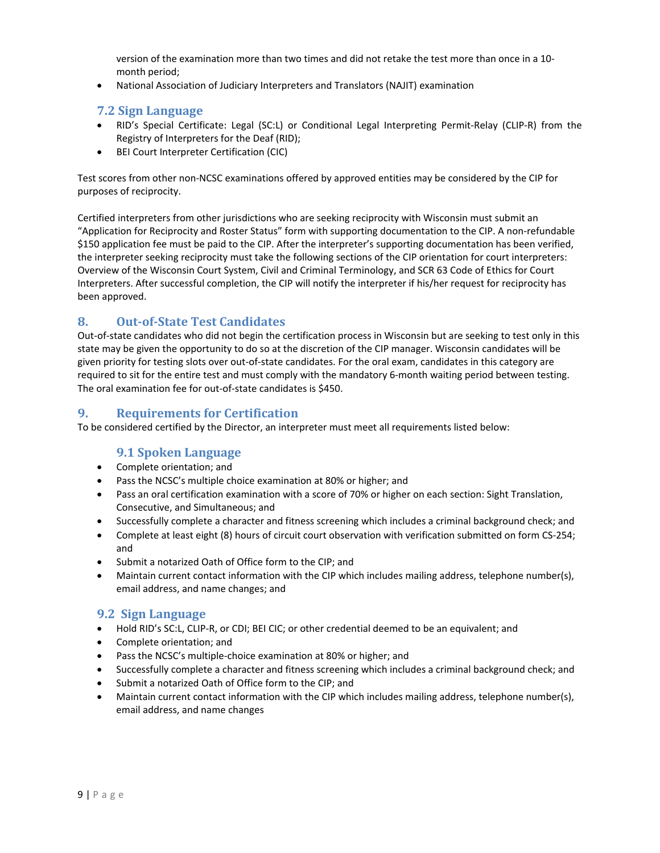version of the examination more than two times and did not retake the test more than once in a 10 month period;

<span id="page-9-0"></span>• National Association of Judiciary Interpreters and Translators (NAJIT) examination

#### **7.2 Sign Language**

- RID's Special Certificate: Legal (SC:L) or Conditional Legal Interpreting Permit-Relay (CLIP-R) from the Registry of Interpreters for the Deaf (RID);
- BEI Court Interpreter Certification (CIC)

Test scores from other non-NCSC examinations offered by approved entities may be considered by the CIP for purposes of reciprocity.

Certified interpreters from other jurisdictions who are seeking reciprocity with Wisconsin must submit an "Application for Reciprocity and Roster Status" form with supporting documentation to the CIP. A non-refundable \$150 application fee must be paid to the CIP. After the interpreter's supporting documentation has been verified, the interpreter seeking reciprocity must take the following sections of the CIP orientation for court interpreters: Overview of the Wisconsin Court System, Civil and Criminal Terminology, and SCR 63 Code of Ethics for Court Interpreters. After successful completion, the CIP will notify the interpreter if his/her request for reciprocity has been approved.

#### <span id="page-9-1"></span>**8. Out-of-State Test Candidates**

Out-of-state candidates who did not begin the certification process in Wisconsin but are seeking to test only in this state may be given the opportunity to do so at the discretion of the CIP manager. Wisconsin candidates will be given priority for testing slots over out-of-state candidates. For the oral exam, candidates in this category are required to sit for the entire test and must comply with the mandatory 6-month waiting period between testing. The oral examination fee for out-of-state candidates is \$450.

#### <span id="page-9-2"></span>**9. Requirements for Certification**

To be considered certified by the Director, an interpreter must meet all requirements listed below:

## <span id="page-9-3"></span>**9.1 Spoken Language**

- Complete orientation; and
- Pass the NCSC's multiple choice examination at 80% or higher; and
- Pass an oral certification examination with a score of 70% or higher on each section: Sight Translation, Consecutive, and Simultaneous; and
- Successfully complete a character and fitness screening which includes a criminal background check; and
- Complete at least eight (8) hours of circuit court observation with verification submitted on form CS-254; and
- Submit a notarized Oath of Office form to the CIP; and
- Maintain current contact information with the CIP which includes mailing address, telephone number(s), email address, and name changes; and

## <span id="page-9-4"></span>**9.2 Sign Language**

- Hold RID's SC:L, CLIP-R, or CDI; BEI CIC; or other credential deemed to be an equivalent; and
- Complete orientation; and
- Pass the NCSC's multiple-choice examination at 80% or higher; and
- Successfully complete a character and fitness screening which includes a criminal background check; and
- Submit a notarized Oath of Office form to the CIP; and
- Maintain current contact information with the CIP which includes mailing address, telephone number(s), email address, and name changes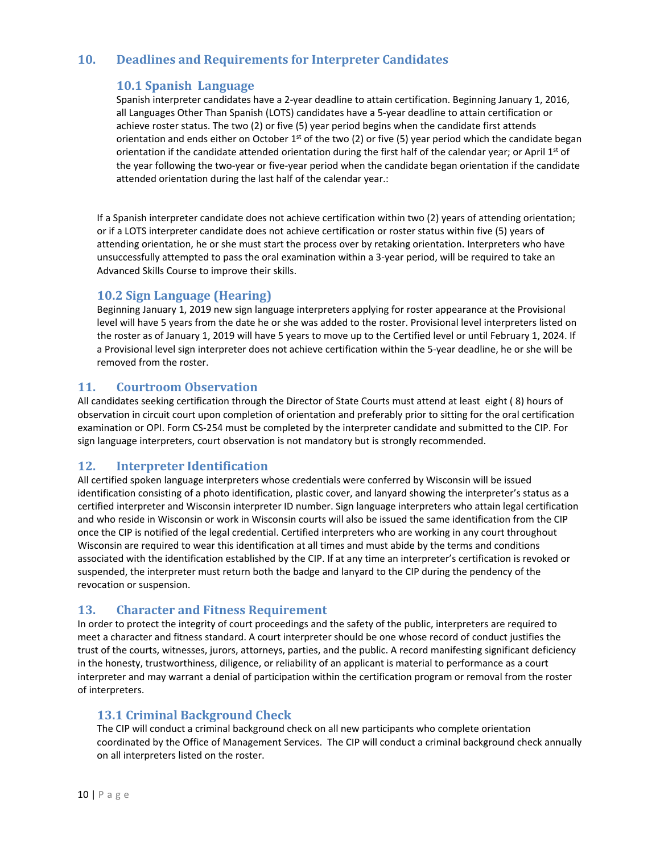# <span id="page-10-0"></span>**10. Deadlines and Requirements for Interpreter Candidates**

#### <span id="page-10-1"></span>**10.1 Spanish Language**

Spanish interpreter candidates have a 2-year deadline to attain certification. Beginning January 1, 2016, all Languages Other Than Spanish (LOTS) candidates have a 5-year deadline to attain certification or achieve roster status. The two (2) or five (5) year period begins when the candidate first attends orientation and ends either on October  $1<sup>st</sup>$  of the two (2) or five (5) year period which the candidate began orientation if the candidate attended orientation during the first half of the calendar year; or April 1<sup>st</sup> of the year following the two-year or five-year period when the candidate began orientation if the candidate attended orientation during the last half of the calendar year.:

If a Spanish interpreter candidate does not achieve certification within two (2) years of attending orientation; or if a LOTS interpreter candidate does not achieve certification or roster status within five (5) years of attending orientation, he or she must start the process over by retaking orientation. Interpreters who have unsuccessfully attempted to pass the oral examination within a 3-year period, will be required to take an Advanced Skills Course to improve their skills.

## <span id="page-10-2"></span>**10.2 Sign Language (Hearing)**

Beginning January 1, 2019 new sign language interpreters applying for roster appearance at the Provisional level will have 5 years from the date he or she was added to the roster. Provisional level interpreters listed on the roster as of January 1, 2019 will have 5 years to move up to the Certified level or until February 1, 2024. If a Provisional level sign interpreter does not achieve certification within the 5-year deadline, he or she will be removed from the roster.

#### <span id="page-10-3"></span>**11. Courtroom Observation**

All candidates seeking certification through the Director of State Courts must attend at least eight ( 8) hours of observation in circuit court upon completion of orientation and preferably prior to sitting for the oral certification examination or OPI. Form CS-254 must be completed by the interpreter candidate and submitted to the CIP. For sign language interpreters, court observation is not mandatory but is strongly recommended.

#### <span id="page-10-4"></span>**12. Interpreter Identification**

All certified spoken language interpreters whose credentials were conferred by Wisconsin will be issued identification consisting of a photo identification, plastic cover, and lanyard showing the interpreter's status as a certified interpreter and Wisconsin interpreter ID number. Sign language interpreters who attain legal certification and who reside in Wisconsin or work in Wisconsin courts will also be issued the same identification from the CIP once the CIP is notified of the legal credential. Certified interpreters who are working in any court throughout Wisconsin are required to wear this identification at all times and must abide by the terms and conditions associated with the identification established by the CIP. If at any time an interpreter's certification is revoked or suspended, the interpreter must return both the badge and lanyard to the CIP during the pendency of the revocation or suspension.

## <span id="page-10-5"></span>**13. Character and Fitness Requirement**

In order to protect the integrity of court proceedings and the safety of the public, interpreters are required to meet a character and fitness standard. A court interpreter should be one whose record of conduct justifies the trust of the courts, witnesses, jurors, attorneys, parties, and the public. A record manifesting significant deficiency in the honesty, trustworthiness, diligence, or reliability of an applicant is material to performance as a court interpreter and may warrant a denial of participation within the certification program or removal from the roster of interpreters.

## <span id="page-10-6"></span>**13.1 Criminal Background Check**

The CIP will conduct a criminal background check on all new participants who complete orientation coordinated by the Office of Management Services. The CIP will conduct a criminal background check annually on all interpreters listed on the roster.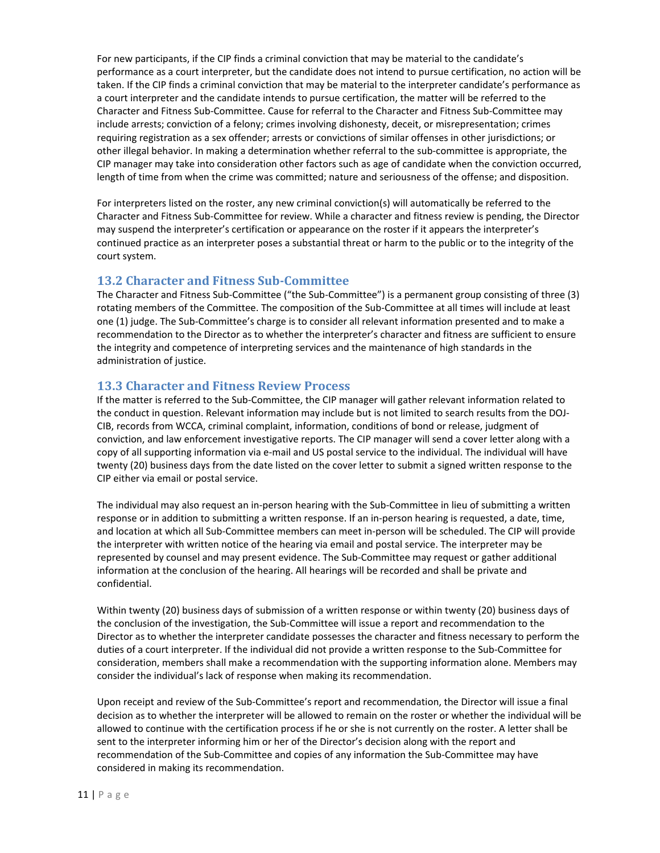For new participants, if the CIP finds a criminal conviction that may be material to the candidate's performance as a court interpreter, but the candidate does not intend to pursue certification, no action will be taken. If the CIP finds a criminal conviction that may be material to the interpreter candidate's performance as a court interpreter and the candidate intends to pursue certification, the matter will be referred to the Character and Fitness Sub-Committee. Cause for referral to the Character and Fitness Sub-Committee may include arrests; conviction of a felony; crimes involving dishonesty, deceit, or misrepresentation; crimes requiring registration as a sex offender; arrests or convictions of similar offenses in other jurisdictions; or other illegal behavior. In making a determination whether referral to the sub-committee is appropriate, the CIP manager may take into consideration other factors such as age of candidate when the conviction occurred, length of time from when the crime was committed; nature and seriousness of the offense; and disposition.

For interpreters listed on the roster, any new criminal conviction(s) will automatically be referred to the Character and Fitness Sub-Committee for review. While a character and fitness review is pending, the Director may suspend the interpreter's certification or appearance on the roster if it appears the interpreter's continued practice as an interpreter poses a substantial threat or harm to the public or to the integrity of the court system.

#### <span id="page-11-0"></span>**13.2 Character and Fitness Sub-Committee**

The Character and Fitness Sub-Committee ("the Sub-Committee") is a permanent group consisting of three (3) rotating members of the Committee. The composition of the Sub-Committee at all times will include at least one (1) judge. The Sub-Committee's charge is to consider all relevant information presented and to make a recommendation to the Director as to whether the interpreter's character and fitness are sufficient to ensure the integrity and competence of interpreting services and the maintenance of high standards in the administration of justice.

## <span id="page-11-1"></span>**13.3 Character and Fitness Review Process**

If the matter is referred to the Sub-Committee, the CIP manager will gather relevant information related to the conduct in question. Relevant information may include but is not limited to search results from the DOJ-CIB, records from WCCA, criminal complaint, information, conditions of bond or release, judgment of conviction, and law enforcement investigative reports. The CIP manager will send a cover letter along with a copy of all supporting information via e-mail and US postal service to the individual. The individual will have twenty (20) business days from the date listed on the cover letter to submit a signed written response to the CIP either via email or postal service.

The individual may also request an in-person hearing with the Sub-Committee in lieu of submitting a written response or in addition to submitting a written response. If an in-person hearing is requested, a date, time, and location at which all Sub-Committee members can meet in-person will be scheduled. The CIP will provide the interpreter with written notice of the hearing via email and postal service. The interpreter may be represented by counsel and may present evidence. The Sub-Committee may request or gather additional information at the conclusion of the hearing. All hearings will be recorded and shall be private and confidential.

Within twenty (20) business days of submission of a written response or within twenty (20) business days of the conclusion of the investigation, the Sub-Committee will issue a report and recommendation to the Director as to whether the interpreter candidate possesses the character and fitness necessary to perform the duties of a court interpreter. If the individual did not provide a written response to the Sub-Committee for consideration, members shall make a recommendation with the supporting information alone. Members may consider the individual's lack of response when making its recommendation.

Upon receipt and review of the Sub-Committee's report and recommendation, the Director will issue a final decision as to whether the interpreter will be allowed to remain on the roster or whether the individual will be allowed to continue with the certification process if he or she is not currently on the roster. A letter shall be sent to the interpreter informing him or her of the Director's decision along with the report and recommendation of the Sub-Committee and copies of any information the Sub-Committee may have considered in making its recommendation.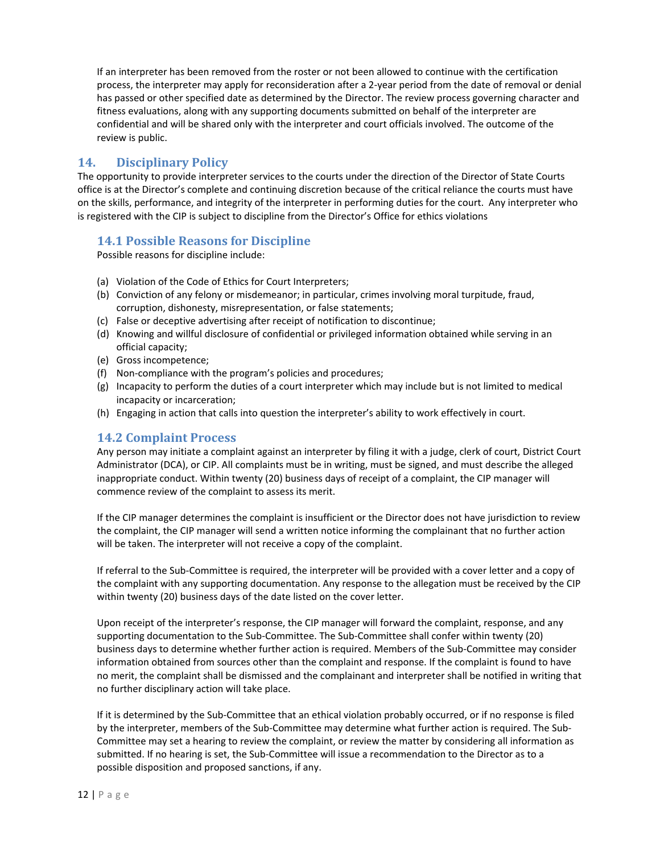If an interpreter has been removed from the roster or not been allowed to continue with the certification process, the interpreter may apply for reconsideration after a 2-year period from the date of removal or denial has passed or other specified date as determined by the Director. The review process governing character and fitness evaluations, along with any supporting documents submitted on behalf of the interpreter are confidential and will be shared only with the interpreter and court officials involved. The outcome of the review is public.

#### <span id="page-12-0"></span>**14. Disciplinary Policy**

The opportunity to provide interpreter services to the courts under the direction of the Director of State Courts office is at the Director's complete and continuing discretion because of the critical reliance the courts must have on the skills, performance, and integrity of the interpreter in performing duties for the court. Any interpreter who is registered with the CIP is subject to discipline from the Director's Office for ethics violations

## <span id="page-12-1"></span>**14.1 Possible Reasons for Discipline**

Possible reasons for discipline include:

- (a) Violation of the Code of Ethics for Court Interpreters;
- (b) Conviction of any felony or misdemeanor; in particular, crimes involving moral turpitude, fraud, corruption, dishonesty, misrepresentation, or false statements;
- (c) False or deceptive advertising after receipt of notification to discontinue;
- (d) Knowing and willful disclosure of confidential or privileged information obtained while serving in an official capacity;
- (e) Gross incompetence;
- (f) Non-compliance with the program's policies and procedures;
- (g) Incapacity to perform the duties of a court interpreter which may include but is not limited to medical incapacity or incarceration;
- <span id="page-12-2"></span>(h) Engaging in action that calls into question the interpreter's ability to work effectively in court.

#### **14.2 Complaint Process**

Any person may initiate a complaint against an interpreter by filing it with a judge, clerk of court, District Court Administrator (DCA), or CIP. All complaints must be in writing, must be signed, and must describe the alleged inappropriate conduct. Within twenty (20) business days of receipt of a complaint, the CIP manager will commence review of the complaint to assess its merit.

If the CIP manager determines the complaint is insufficient or the Director does not have jurisdiction to review the complaint, the CIP manager will send a written notice informing the complainant that no further action will be taken. The interpreter will not receive a copy of the complaint.

If referral to the Sub-Committee is required, the interpreter will be provided with a cover letter and a copy of the complaint with any supporting documentation. Any response to the allegation must be received by the CIP within twenty (20) business days of the date listed on the cover letter.

Upon receipt of the interpreter's response, the CIP manager will forward the complaint, response, and any supporting documentation to the Sub-Committee. The Sub-Committee shall confer within twenty (20) business days to determine whether further action is required. Members of the Sub-Committee may consider information obtained from sources other than the complaint and response. If the complaint is found to have no merit, the complaint shall be dismissed and the complainant and interpreter shall be notified in writing that no further disciplinary action will take place.

If it is determined by the Sub-Committee that an ethical violation probably occurred, or if no response is filed by the interpreter, members of the Sub-Committee may determine what further action is required. The Sub-Committee may set a hearing to review the complaint, or review the matter by considering all information as submitted. If no hearing is set, the Sub-Committee will issue a recommendation to the Director as to a possible disposition and proposed sanctions, if any.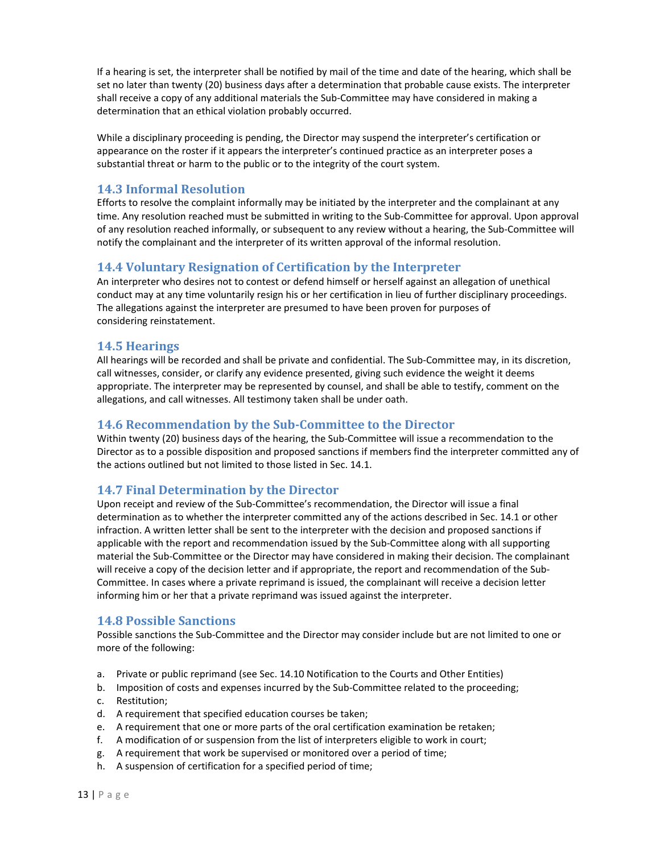If a hearing is set, the interpreter shall be notified by mail of the time and date of the hearing, which shall be set no later than twenty (20) business days after a determination that probable cause exists. The interpreter shall receive a copy of any additional materials the Sub-Committee may have considered in making a determination that an ethical violation probably occurred.

While a disciplinary proceeding is pending, the Director may suspend the interpreter's certification or appearance on the roster if it appears the interpreter's continued practice as an interpreter poses a substantial threat or harm to the public or to the integrity of the court system.

#### <span id="page-13-0"></span>**14.3 Informal Resolution**

Efforts to resolve the complaint informally may be initiated by the interpreter and the complainant at any time. Any resolution reached must be submitted in writing to the Sub-Committee for approval. Upon approval of any resolution reached informally, or subsequent to any review without a hearing, the Sub-Committee will notify the complainant and the interpreter of its written approval of the informal resolution.

#### <span id="page-13-1"></span>**14.4 Voluntary Resignation of Certification by the Interpreter**

An interpreter who desires not to contest or defend himself or herself against an allegation of unethical conduct may at any time voluntarily resign his or her certification in lieu of further disciplinary proceedings. The allegations against the interpreter are presumed to have been proven for purposes of considering reinstatement.

#### <span id="page-13-2"></span>**14.5 Hearings**

All hearings will be recorded and shall be private and confidential. The Sub-Committee may, in its discretion, call witnesses, consider, or clarify any evidence presented, giving such evidence the weight it deems appropriate. The interpreter may be represented by counsel, and shall be able to testify, comment on the allegations, and call witnesses. All testimony taken shall be under oath.

#### <span id="page-13-3"></span>**14.6 Recommendation by the Sub-Committee to the Director**

Within twenty (20) business days of the hearing, the Sub-Committee will issue a recommendation to the Director as to a possible disposition and proposed sanctions if members find the interpreter committed any of the actions outlined but not limited to those listed in Sec. 14.1.

#### <span id="page-13-4"></span>**14.7 Final Determination by the Director**

Upon receipt and review of the Sub-Committee's recommendation, the Director will issue a final determination as to whether the interpreter committed any of the actions described in Sec. 14.1 or other infraction. A written letter shall be sent to the interpreter with the decision and proposed sanctions if applicable with the report and recommendation issued by the Sub-Committee along with all supporting material the Sub-Committee or the Director may have considered in making their decision. The complainant will receive a copy of the decision letter and if appropriate, the report and recommendation of the Sub-Committee. In cases where a private reprimand is issued, the complainant will receive a decision letter informing him or her that a private reprimand was issued against the interpreter.

#### <span id="page-13-5"></span>**14.8 Possible Sanctions**

Possible sanctions the Sub-Committee and the Director may consider include but are not limited to one or more of the following:

- a. Private or public reprimand (see Sec. 14.10 Notification to the Courts and Other Entities)
- b. Imposition of costs and expenses incurred by the Sub-Committee related to the proceeding;
- c. Restitution;
- d. A requirement that specified education courses be taken;
- e. A requirement that one or more parts of the oral certification examination be retaken;
- f. A modification of or suspension from the list of interpreters eligible to work in court;
- g. A requirement that work be supervised or monitored over a period of time;
- h. A suspension of certification for a specified period of time;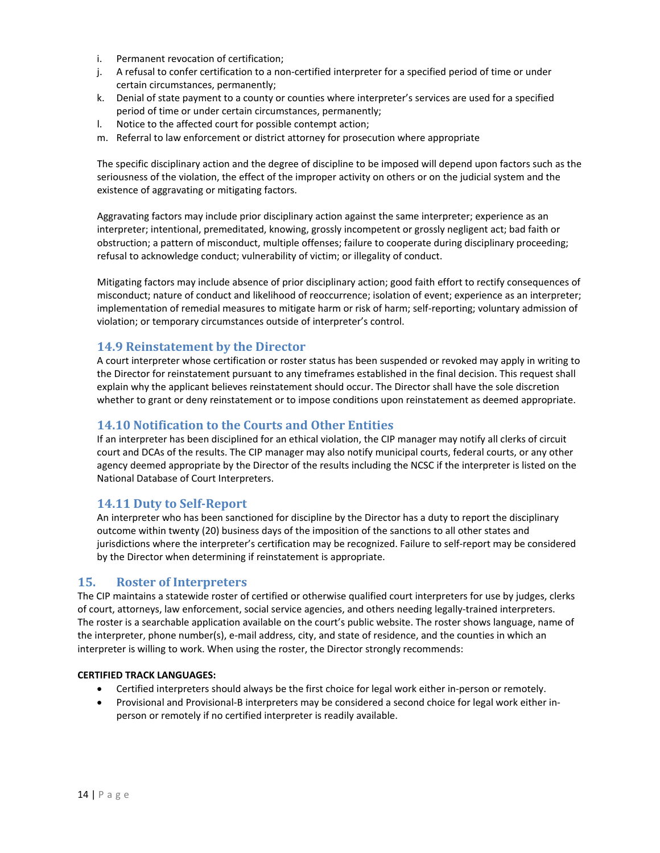- i. Permanent revocation of certification;
- j. A refusal to confer certification to a non-certified interpreter for a specified period of time or under certain circumstances, permanently;
- k. Denial of state payment to a county or counties where interpreter's services are used for a specified period of time or under certain circumstances, permanently;
- l. Notice to the affected court for possible contempt action;
- m. Referral to law enforcement or district attorney for prosecution where appropriate

The specific disciplinary action and the degree of discipline to be imposed will depend upon factors such as the seriousness of the violation, the effect of the improper activity on others or on the judicial system and the existence of aggravating or mitigating factors.

Aggravating factors may include prior disciplinary action against the same interpreter; experience as an interpreter; intentional, premeditated, knowing, grossly incompetent or grossly negligent act; bad faith or obstruction; a pattern of misconduct, multiple offenses; failure to cooperate during disciplinary proceeding; refusal to acknowledge conduct; vulnerability of victim; or illegality of conduct.

Mitigating factors may include absence of prior disciplinary action; good faith effort to rectify consequences of misconduct; nature of conduct and likelihood of reoccurrence; isolation of event; experience as an interpreter; implementation of remedial measures to mitigate harm or risk of harm; self-reporting; voluntary admission of violation; or temporary circumstances outside of interpreter's control.

#### <span id="page-14-0"></span>**14.9 Reinstatement by the Director**

A court interpreter whose certification or roster status has been suspended or revoked may apply in writing to the Director for reinstatement pursuant to any timeframes established in the final decision. This request shall explain why the applicant believes reinstatement should occur. The Director shall have the sole discretion whether to grant or deny reinstatement or to impose conditions upon reinstatement as deemed appropriate.

#### <span id="page-14-1"></span>**14.10 Notification to the Courts and Other Entities**

If an interpreter has been disciplined for an ethical violation, the CIP manager may notify all clerks of circuit court and DCAs of the results. The CIP manager may also notify municipal courts, federal courts, or any other agency deemed appropriate by the Director of the results including the NCSC if the interpreter is listed on the National Database of Court Interpreters.

#### <span id="page-14-2"></span>**14.11 Duty to Self-Report**

An interpreter who has been sanctioned for discipline by the Director has a duty to report the disciplinary outcome within twenty (20) business days of the imposition of the sanctions to all other states and jurisdictions where the interpreter's certification may be recognized. Failure to self-report may be considered by the Director when determining if reinstatement is appropriate.

#### <span id="page-14-3"></span>**15. Roster of Interpreters**

The CIP maintains a statewide roster of certified or otherwise qualified court interpreters for use by judges, clerks of court, attorneys, law enforcement, social service agencies, and others needing legally-trained interpreters. The roster is a searchable application available on the court's public website. The roster shows language, name of the interpreter, phone number(s), e-mail address, city, and state of residence, and the counties in which an interpreter is willing to work. When using the roster, the Director strongly recommends:

#### **CERTIFIED TRACK LANGUAGES:**

- Certified interpreters should always be the first choice for legal work either in-person or remotely.
- Provisional and Provisional-B interpreters may be considered a second choice for legal work either inperson or remotely if no certified interpreter is readily available.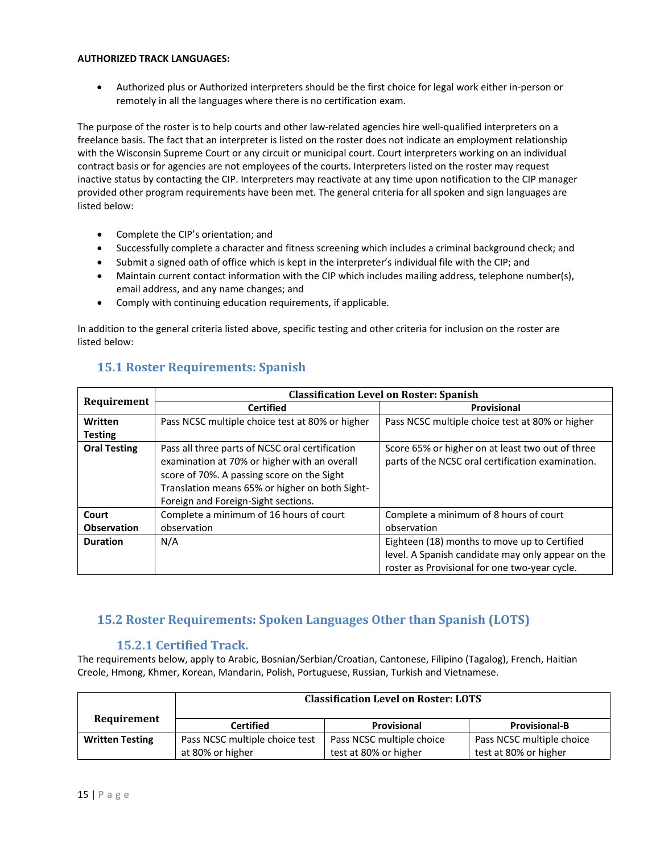#### **AUTHORIZED TRACK LANGUAGES:**

• Authorized plus or Authorized interpreters should be the first choice for legal work either in-person or remotely in all the languages where there is no certification exam.

The purpose of the roster is to help courts and other law-related agencies hire well-qualified interpreters on a freelance basis. The fact that an interpreter is listed on the roster does not indicate an employment relationship with the Wisconsin Supreme Court or any circuit or municipal court. Court interpreters working on an individual contract basis or for agencies are not employees of the courts. Interpreters listed on the roster may request inactive status by contacting the CIP. Interpreters may reactivate at any time upon notification to the CIP manager provided other program requirements have been met. The general criteria for all spoken and sign languages are listed below:

- Complete the CIP's orientation; and
- Successfully complete a character and fitness screening which includes a criminal background check; and
- Submit a signed oath of office which is kept in the interpreter's individual file with the CIP; and
- Maintain current contact information with the CIP which includes mailing address, telephone number(s), email address, and any name changes; and
- Comply with continuing education requirements, if applicable.

In addition to the general criteria listed above, specific testing and other criteria for inclusion on the roster are listed below:

|                     | <b>Classification Level on Roster: Spanish</b>  |                                                   |  |
|---------------------|-------------------------------------------------|---------------------------------------------------|--|
| Requirement         | <b>Certified</b>                                | Provisional                                       |  |
| Written             | Pass NCSC multiple choice test at 80% or higher | Pass NCSC multiple choice test at 80% or higher   |  |
| <b>Testing</b>      |                                                 |                                                   |  |
| <b>Oral Testing</b> | Pass all three parts of NCSC oral certification | Score 65% or higher on at least two out of three  |  |
|                     | examination at 70% or higher with an overall    | parts of the NCSC oral certification examination. |  |
|                     | score of 70%. A passing score on the Sight      |                                                   |  |
|                     | Translation means 65% or higher on both Sight-  |                                                   |  |
|                     | Foreign and Foreign-Sight sections.             |                                                   |  |
| Court               | Complete a minimum of 16 hours of court         | Complete a minimum of 8 hours of court            |  |
| <b>Observation</b>  | observation                                     | observation                                       |  |
| <b>Duration</b>     | N/A                                             | Eighteen (18) months to move up to Certified      |  |
|                     |                                                 | level. A Spanish candidate may only appear on the |  |
|                     |                                                 | roster as Provisional for one two-year cycle.     |  |

## <span id="page-15-0"></span>**15.1 Roster Requirements: Spanish**

# <span id="page-15-1"></span>**15.2 Roster Requirements: Spoken Languages Other than Spanish (LOTS)**

## **15.2.1 Certified Track.**

The requirements below, apply to Arabic, Bosnian/Serbian/Croatian, Cantonese, Filipino (Tagalog), French, Haitian Creole, Hmong, Khmer, Korean, Mandarin, Polish, Portuguese, Russian, Turkish and Vietnamese.

|                        | <b>Classification Level on Roster: LOTS</b> |                           |                           |
|------------------------|---------------------------------------------|---------------------------|---------------------------|
| Requirement            | <b>Certified</b>                            | <b>Provisional</b>        | <b>Provisional-B</b>      |
| <b>Written Testing</b> | Pass NCSC multiple choice test              | Pass NCSC multiple choice | Pass NCSC multiple choice |
|                        | at 80% or higher                            | test at 80% or higher     | test at 80% or higher     |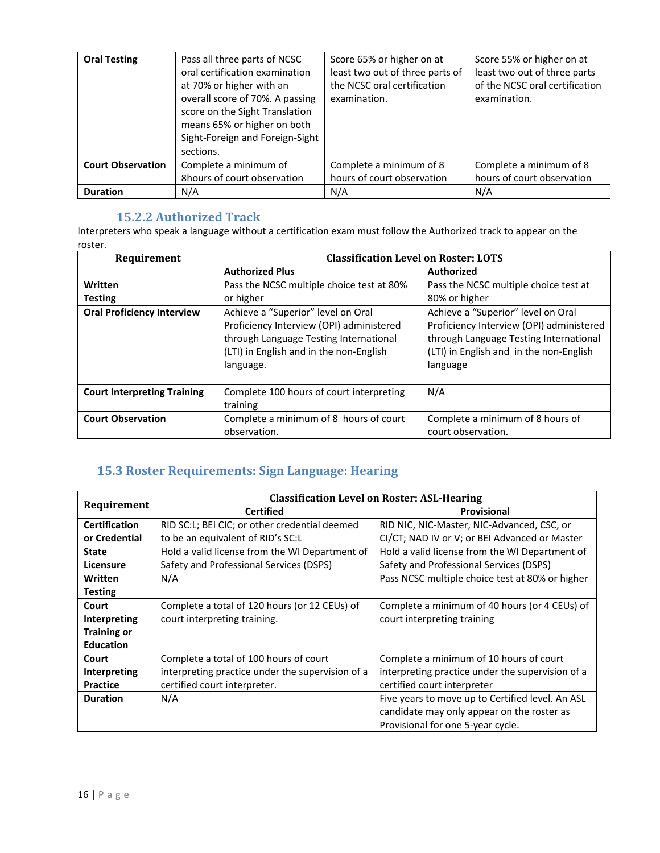| <b>Oral Testing</b>      | Pass all three parts of NCSC<br>oral certification examination<br>at 70% or higher with an<br>overall score of 70%. A passing<br>score on the Sight Translation<br>means 65% or higher on both<br>Sight-Foreign and Foreign-Sight<br>sections. | Score 65% or higher on at<br>least two out of three parts of<br>the NCSC oral certification<br>examination. | Score 55% or higher on at<br>least two out of three parts<br>of the NCSC oral certification<br>examination. |
|--------------------------|------------------------------------------------------------------------------------------------------------------------------------------------------------------------------------------------------------------------------------------------|-------------------------------------------------------------------------------------------------------------|-------------------------------------------------------------------------------------------------------------|
| <b>Court Observation</b> | Complete a minimum of<br>8hours of court observation                                                                                                                                                                                           | Complete a minimum of 8<br>hours of court observation                                                       | Complete a minimum of 8<br>hours of court observation                                                       |
| <b>Duration</b>          | N/A                                                                                                                                                                                                                                            | N/A                                                                                                         | N/A                                                                                                         |

## **15.2.2 Authorized Track**

<span id="page-16-0"></span>Interpreters who speak a language without a certification exam must follow the Authorized track to appear on the roster.

| Requirement                        | <b>Classification Level on Roster: LOTS</b>                                                                                                                                      |                                                                                                                                                                                 |  |
|------------------------------------|----------------------------------------------------------------------------------------------------------------------------------------------------------------------------------|---------------------------------------------------------------------------------------------------------------------------------------------------------------------------------|--|
|                                    | <b>Authorized Plus</b>                                                                                                                                                           | <b>Authorized</b>                                                                                                                                                               |  |
| Written                            | Pass the NCSC multiple choice test at 80%                                                                                                                                        | Pass the NCSC multiple choice test at                                                                                                                                           |  |
| <b>Testing</b>                     | or higher                                                                                                                                                                        | 80% or higher                                                                                                                                                                   |  |
| <b>Oral Proficiency Interview</b>  | Achieve a "Superior" level on Oral<br>Proficiency Interview (OPI) administered<br>through Language Testing International<br>(LTI) in English and in the non-English<br>language. | Achieve a "Superior" level on Oral<br>Proficiency Interview (OPI) administered<br>through Language Testing International<br>(LTI) in English and in the non-English<br>language |  |
| <b>Court Interpreting Training</b> | Complete 100 hours of court interpreting<br>training                                                                                                                             | N/A                                                                                                                                                                             |  |
| <b>Court Observation</b>           | Complete a minimum of 8 hours of court<br>observation.                                                                                                                           | Complete a minimum of 8 hours of<br>court observation.                                                                                                                          |  |

# **15.3 Roster Requirements: Sign Language: Hearing**

|                      | <b>Classification Level on Roster: ASL-Hearing</b> |                                                  |  |
|----------------------|----------------------------------------------------|--------------------------------------------------|--|
| Requirement          | <b>Certified</b>                                   | Provisional                                      |  |
| <b>Certification</b> | RID SC:L; BEI CIC; or other credential deemed      | RID NIC, NIC-Master, NIC-Advanced, CSC, or       |  |
| or Credential        | to be an equivalent of RID's SC:L                  | CI/CT; NAD IV or V; or BEI Advanced or Master    |  |
| <b>State</b>         | Hold a valid license from the WI Department of     | Hold a valid license from the WI Department of   |  |
| <b>Licensure</b>     | Safety and Professional Services (DSPS)            | Safety and Professional Services (DSPS)          |  |
| Written              | N/A                                                | Pass NCSC multiple choice test at 80% or higher  |  |
| <b>Testing</b>       |                                                    |                                                  |  |
| Court                | Complete a total of 120 hours (or 12 CEUs) of      | Complete a minimum of 40 hours (or 4 CEUs) of    |  |
| <b>Interpreting</b>  | court interpreting training.                       | court interpreting training                      |  |
| <b>Training or</b>   |                                                    |                                                  |  |
| <b>Education</b>     |                                                    |                                                  |  |
| Court                | Complete a total of 100 hours of court             | Complete a minimum of 10 hours of court          |  |
| Interpreting         | interpreting practice under the supervision of a   | interpreting practice under the supervision of a |  |
| <b>Practice</b>      | certified court interpreter.                       | certified court interpreter                      |  |
| <b>Duration</b>      | N/A                                                | Five years to move up to Certified level. An ASL |  |
|                      |                                                    | candidate may only appear on the roster as       |  |
|                      |                                                    | Provisional for one 5-year cycle.                |  |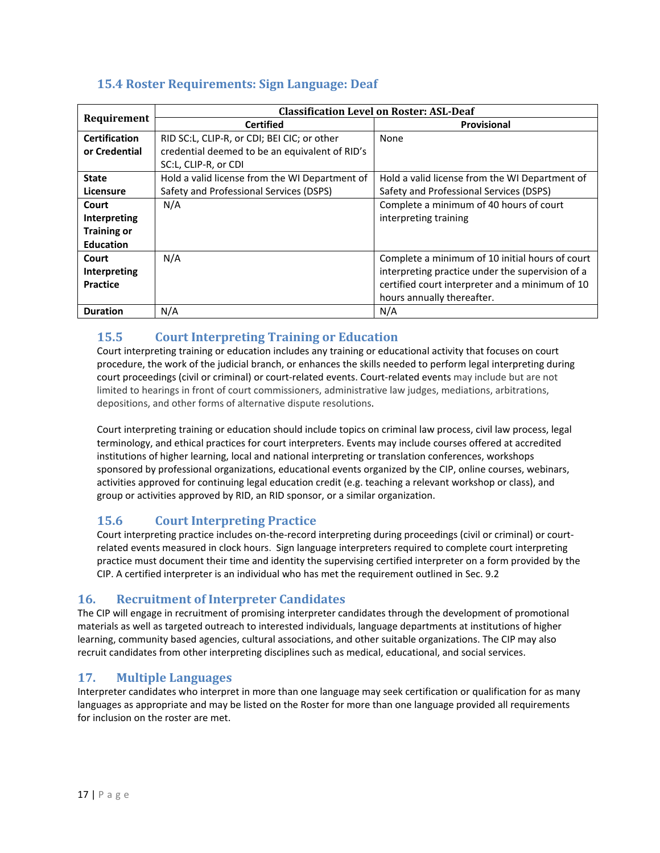# <span id="page-17-0"></span>**15.4 Roster Requirements: Sign Language: Deaf**

|                      | <b>Classification Level on Roster: ASL-Deaf</b> |                                                  |  |
|----------------------|-------------------------------------------------|--------------------------------------------------|--|
| Requirement          | <b>Certified</b>                                | Provisional                                      |  |
| <b>Certification</b> | RID SC:L, CLIP-R, or CDI; BEI CIC; or other     | None                                             |  |
| or Credential        | credential deemed to be an equivalent of RID's  |                                                  |  |
|                      | SC:L, CLIP-R, or CDI                            |                                                  |  |
| <b>State</b>         | Hold a valid license from the WI Department of  | Hold a valid license from the WI Department of   |  |
| Licensure            | Safety and Professional Services (DSPS)         | Safety and Professional Services (DSPS)          |  |
| Court                | N/A                                             | Complete a minimum of 40 hours of court          |  |
| Interpreting         |                                                 | interpreting training                            |  |
| <b>Training or</b>   |                                                 |                                                  |  |
| <b>Education</b>     |                                                 |                                                  |  |
| Court                | N/A                                             | Complete a minimum of 10 initial hours of court  |  |
| Interpreting         |                                                 | interpreting practice under the supervision of a |  |
| Practice             |                                                 | certified court interpreter and a minimum of 10  |  |
|                      |                                                 | hours annually thereafter.                       |  |
| <b>Duration</b>      | N/A                                             | N/A                                              |  |

# <span id="page-17-1"></span>**15.5 Court Interpreting Training or Education**

Court interpreting training or education includes any training or educational activity that focuses on court procedure, the work of the judicial branch, or enhances the skills needed to perform legal interpreting during court proceedings (civil or criminal) or court-related events. Court-related events may include but are not limited to hearings in front of court commissioners, administrative law judges, mediations, arbitrations, depositions, and other forms of alternative dispute resolutions.

Court interpreting training or education should include topics on criminal law process, civil law process, legal terminology, and ethical practices for court interpreters. Events may include courses offered at accredited institutions of higher learning, local and national interpreting or translation conferences, workshops sponsored by professional organizations, educational events organized by the CIP, online courses, webinars, activities approved for continuing legal education credit (e.g. teaching a relevant workshop or class), and group or activities approved by RID, an RID sponsor, or a similar organization.

# <span id="page-17-2"></span>**15.6 Court Interpreting Practice**

Court interpreting practice includes on-the-record interpreting during proceedings (civil or criminal) or courtrelated events measured in clock hours. Sign language interpreters required to complete court interpreting practice must document their time and identity the supervising certified interpreter on a form provided by the CIP. A certified interpreter is an individual who has met the requirement outlined in Sec. 9.2

# <span id="page-17-3"></span>**16. Recruitment of Interpreter Candidates**

The CIP will engage in recruitment of promising interpreter candidates through the development of promotional materials as well as targeted outreach to interested individuals, language departments at institutions of higher learning, community based agencies, cultural associations, and other suitable organizations. The CIP may also recruit candidates from other interpreting disciplines such as medical, educational, and social services.

## <span id="page-17-4"></span>**17. Multiple Languages**

Interpreter candidates who interpret in more than one language may seek certification or qualification for as many languages as appropriate and may be listed on the Roster for more than one language provided all requirements for inclusion on the roster are met.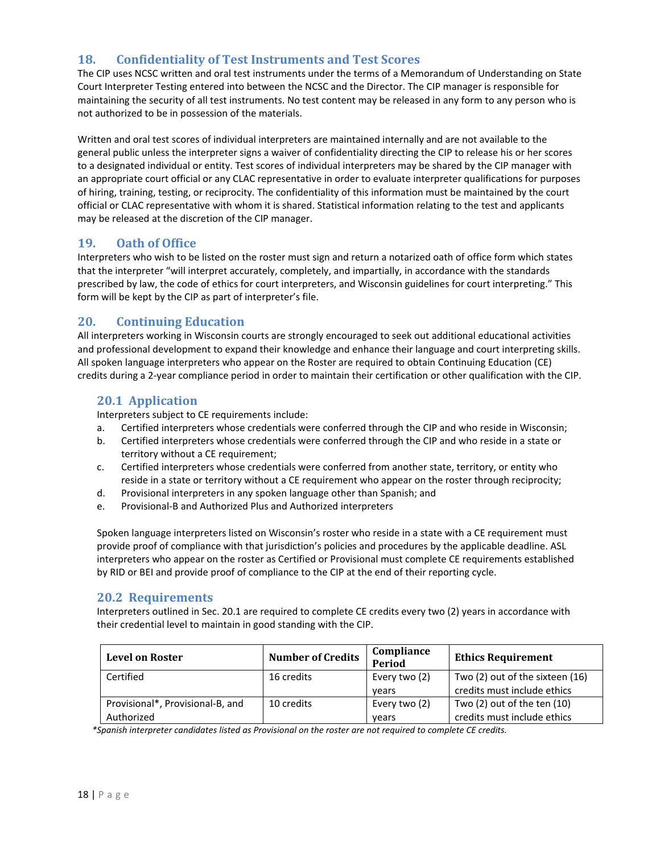## <span id="page-18-0"></span>**18. Confidentiality of Test Instruments and Test Scores**

The CIP uses NCSC written and oral test instruments under the terms of a Memorandum of Understanding on State Court Interpreter Testing entered into between the NCSC and the Director. The CIP manager is responsible for maintaining the security of all test instruments. No test content may be released in any form to any person who is not authorized to be in possession of the materials.

Written and oral test scores of individual interpreters are maintained internally and are not available to the general public unless the interpreter signs a waiver of confidentiality directing the CIP to release his or her scores to a designated individual or entity. Test scores of individual interpreters may be shared by the CIP manager with an appropriate court official or any CLAC representative in order to evaluate interpreter qualifications for purposes of hiring, training, testing, or reciprocity. The confidentiality of this information must be maintained by the court official or CLAC representative with whom it is shared. Statistical information relating to the test and applicants may be released at the discretion of the CIP manager.

## <span id="page-18-1"></span>**19. Oath of Office**

Interpreters who wish to be listed on the roster must sign and return a notarized oath of office form which states that the interpreter "will interpret accurately, completely, and impartially, in accordance with the standards prescribed by law, the code of ethics for court interpreters, and Wisconsin guidelines for court interpreting." This form will be kept by the CIP as part of interpreter's file.

#### <span id="page-18-2"></span>**20. Continuing Education**

All interpreters working in Wisconsin courts are strongly encouraged to seek out additional educational activities and professional development to expand their knowledge and enhance their language and court interpreting skills. All spoken language interpreters who appear on the Roster are required to obtain Continuing Education (CE) credits during a 2-year compliance period in order to maintain their certification or other qualification with the CIP.

## <span id="page-18-3"></span>**20.1 Application**

Interpreters subject to CE requirements include:

- a. Certified interpreters whose credentials were conferred through the CIP and who reside in Wisconsin;
- b. Certified interpreters whose credentials were conferred through the CIP and who reside in a state or territory without a CE requirement;
- c. Certified interpreters whose credentials were conferred from another state, territory, or entity who reside in a state or territory without a CE requirement who appear on the roster through reciprocity;
- d. Provisional interpreters in any spoken language other than Spanish; and
- e. Provisional-B and Authorized Plus and Authorized interpreters

Spoken language interpreters listed on Wisconsin's roster who reside in a state with a CE requirement must provide proof of compliance with that jurisdiction's policies and procedures by the applicable deadline. ASL interpreters who appear on the roster as Certified or Provisional must complete CE requirements established by RID or BEI and provide proof of compliance to the CIP at the end of their reporting cycle.

#### <span id="page-18-4"></span>**20.2 Requirements**

Interpreters outlined in Sec. 20.1 are required to complete CE credits every two (2) years in accordance with their credential level to maintain in good standing with the CIP.

| <b>Level on Roster</b>                         | <b>Number of Credits</b> | Compliance<br>Period   | <b>Ethics Requirement</b>                                      |
|------------------------------------------------|--------------------------|------------------------|----------------------------------------------------------------|
| Certified                                      | 16 credits               | Every two (2)<br>vears | Two (2) out of the sixteen (16)<br>credits must include ethics |
| Provisional*, Provisional-B, and<br>Authorized | 10 credits               | Every two (2)<br>vears | Two $(2)$ out of the ten $(10)$<br>credits must include ethics |

*\*Spanish interpreter candidates listed as Provisional on the roster are not required to complete CE credits.*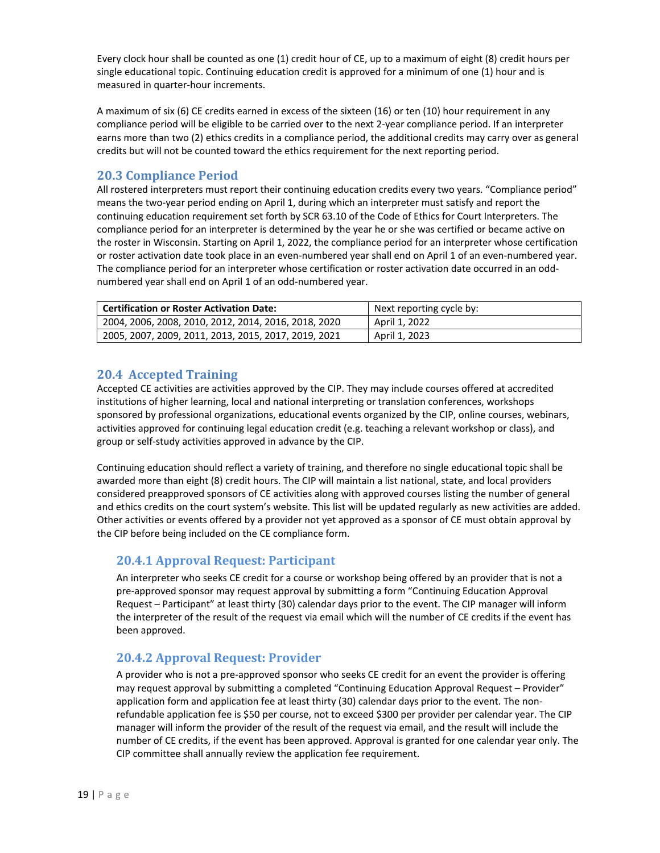Every clock hour shall be counted as one (1) credit hour of CE, up to a maximum of eight (8) credit hours per single educational topic. Continuing education credit is approved for a minimum of one (1) hour and is measured in quarter-hour increments.

A maximum of six (6) CE credits earned in excess of the sixteen (16) or ten (10) hour requirement in any compliance period will be eligible to be carried over to the next 2-year compliance period. If an interpreter earns more than two (2) ethics credits in a compliance period, the additional credits may carry over as general credits but will not be counted toward the ethics requirement for the next reporting period.

## <span id="page-19-0"></span>**20.3 Compliance Period**

All rostered interpreters must report their continuing education credits every two years. "Compliance period" means the two-year period ending on April 1, during which an interpreter must satisfy and report the continuing education requirement set forth by SCR 63.10 of the Code of Ethics for Court Interpreters. The compliance period for an interpreter is determined by the year he or she was certified or became active on the roster in Wisconsin. Starting on April 1, 2022, the compliance period for an interpreter whose certification or roster activation date took place in an even-numbered year shall end on April 1 of an even-numbered year. The compliance period for an interpreter whose certification or roster activation date occurred in an oddnumbered year shall end on April 1 of an odd-numbered year.

| <b>Certification or Roster Activation Date:</b>      | Next reporting cycle by: |
|------------------------------------------------------|--------------------------|
| 2004, 2006, 2008, 2010, 2012, 2014, 2016, 2018, 2020 | April 1, 2022            |
| 2005, 2007, 2009, 2011, 2013, 2015, 2017, 2019, 2021 | April 1, 2023            |

## <span id="page-19-1"></span>**20.4 Accepted Training**

Accepted CE activities are activities approved by the CIP. They may include courses offered at accredited institutions of higher learning, local and national interpreting or translation conferences, workshops sponsored by professional organizations, educational events organized by the CIP, online courses, webinars, activities approved for continuing legal education credit (e.g. teaching a relevant workshop or class), and group or self-study activities approved in advance by the CIP.

Continuing education should reflect a variety of training, and therefore no single educational topic shall be awarded more than eight (8) credit hours. The CIP will maintain a list national, state, and local providers considered preapproved sponsors of CE activities along with approved courses listing the number of general and ethics credits on the court system's website. This list will be updated regularly as new activities are added. Other activities or events offered by a provider not yet approved as a sponsor of CE must obtain approval by the CIP before being included on the CE compliance form.

# **20.4.1 Approval Request: Participant**

An interpreter who seeks CE credit for a course or workshop being offered by an provider that is not a pre-approved sponsor may request approval by submitting a form "Continuing Education Approval Request – Participant" at least thirty (30) calendar days prior to the event. The CIP manager will inform the interpreter of the result of the request via email which will the number of CE credits if the event has been approved.

## **20.4.2 Approval Request: Provider**

A provider who is not a pre-approved sponsor who seeks CE credit for an event the provider is offering may request approval by submitting a completed "Continuing Education Approval Request – Provider" application form and application fee at least thirty (30) calendar days prior to the event. The nonrefundable application fee is \$50 per course, not to exceed \$300 per provider per calendar year. The CIP manager will inform the provider of the result of the request via email, and the result will include the number of CE credits, if the event has been approved. Approval is granted for one calendar year only. The CIP committee shall annually review the application fee requirement.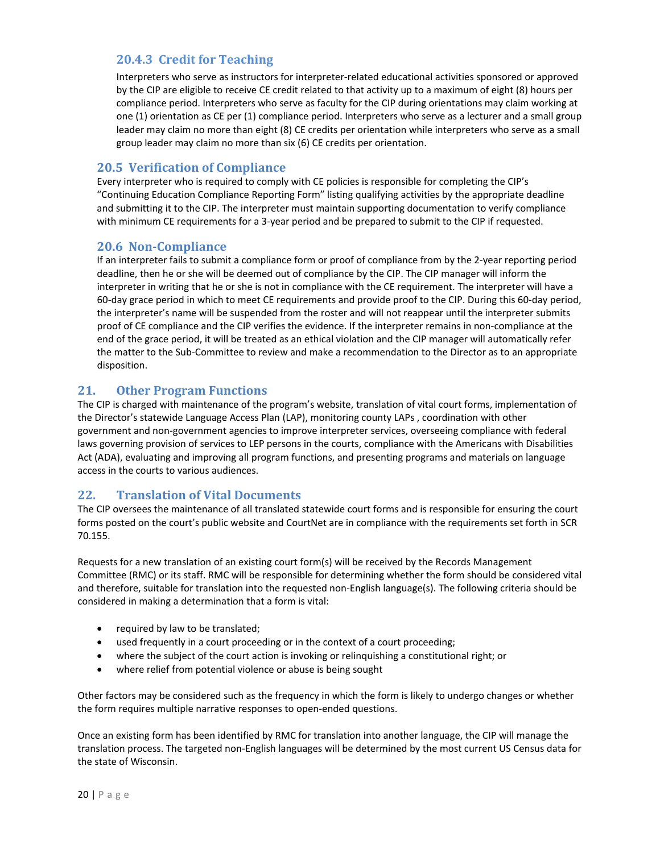## **20.4.3 Credit for Teaching**

Interpreters who serve as instructors for interpreter-related educational activities sponsored or approved by the CIP are eligible to receive CE credit related to that activity up to a maximum of eight (8) hours per compliance period. Interpreters who serve as faculty for the CIP during orientations may claim working at one (1) orientation as CE per (1) compliance period. Interpreters who serve as a lecturer and a small group leader may claim no more than eight (8) CE credits per orientation while interpreters who serve as a small group leader may claim no more than six (6) CE credits per orientation.

#### <span id="page-20-0"></span>**20.5 Verification of Compliance**

Every interpreter who is required to comply with CE policies is responsible for completing the CIP's "Continuing Education Compliance Reporting Form" listing qualifying activities by the appropriate deadline and submitting it to the CIP. The interpreter must maintain supporting documentation to verify compliance with minimum CE requirements for a 3-year period and be prepared to submit to the CIP if requested.

#### <span id="page-20-1"></span>**20.6 Non-Compliance**

If an interpreter fails to submit a compliance form or proof of compliance from by the 2-year reporting period deadline, then he or she will be deemed out of compliance by the CIP. The CIP manager will inform the interpreter in writing that he or she is not in compliance with the CE requirement. The interpreter will have a 60-day grace period in which to meet CE requirements and provide proof to the CIP. During this 60-day period, the interpreter's name will be suspended from the roster and will not reappear until the interpreter submits proof of CE compliance and the CIP verifies the evidence. If the interpreter remains in non-compliance at the end of the grace period, it will be treated as an ethical violation and the CIP manager will automatically refer the matter to the Sub-Committee to review and make a recommendation to the Director as to an appropriate disposition.

## <span id="page-20-2"></span>**21. Other Program Functions**

The CIP is charged with maintenance of the program's website, translation of vital court forms, implementation of the Director's statewide Language Access Plan (LAP), monitoring county LAPs , coordination with other government and non-government agencies to improve interpreter services, overseeing compliance with federal laws governing provision of services to LEP persons in the courts, compliance with the Americans with Disabilities Act (ADA), evaluating and improving all program functions, and presenting programs and materials on language access in the courts to various audiences.

## <span id="page-20-3"></span>**22. Translation of Vital Documents**

The CIP oversees the maintenance of all translated statewide court forms and is responsible for ensuring the court forms posted on the court's public website and CourtNet are in compliance with the requirements set forth in SCR 70.155.

Requests for a new translation of an existing court form(s) will be received by the Records Management Committee (RMC) or its staff. RMC will be responsible for determining whether the form should be considered vital and therefore, suitable for translation into the requested non-English language(s). The following criteria should be considered in making a determination that a form is vital:

- required by law to be translated;
- used frequently in a court proceeding or in the context of a court proceeding;
- where the subject of the court action is invoking or relinquishing a constitutional right; or
- where relief from potential violence or abuse is being sought

Other factors may be considered such as the frequency in which the form is likely to undergo changes or whether the form requires multiple narrative responses to open-ended questions.

Once an existing form has been identified by RMC for translation into another language, the CIP will manage the translation process. The targeted non-English languages will be determined by the most current US Census data for the state of Wisconsin.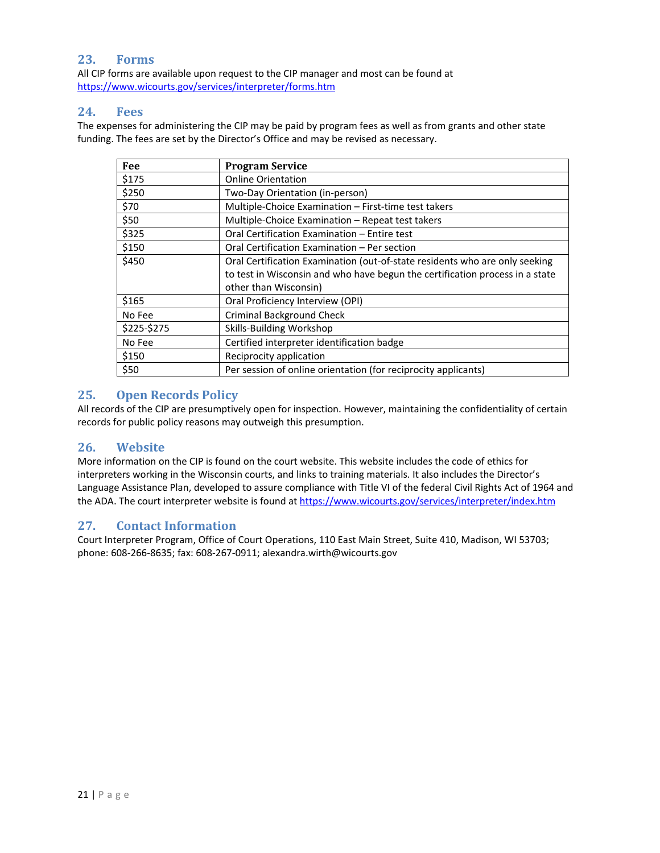#### <span id="page-21-0"></span>**23. Forms**

All CIP forms are available upon request to the CIP manager and most can be found at <https://www.wicourts.gov/services/interpreter/forms.htm>

#### <span id="page-21-1"></span>**24. Fees**

The expenses for administering the CIP may be paid by program fees as well as from grants and other state funding. The fees are set by the Director's Office and may be revised as necessary.

| Fee         | <b>Program Service</b>                                                       |
|-------------|------------------------------------------------------------------------------|
| \$175       | <b>Online Orientation</b>                                                    |
| \$250       | Two-Day Orientation (in-person)                                              |
| \$70        | Multiple-Choice Examination - First-time test takers                         |
| \$50        | Multiple-Choice Examination - Repeat test takers                             |
| \$325       | Oral Certification Examination - Entire test                                 |
| \$150       | Oral Certification Examination – Per section                                 |
| \$450       | Oral Certification Examination (out-of-state residents who are only seeking  |
|             | to test in Wisconsin and who have begun the certification process in a state |
|             | other than Wisconsin)                                                        |
| \$165       | Oral Proficiency Interview (OPI)                                             |
| No Fee      | <b>Criminal Background Check</b>                                             |
| \$225-\$275 | Skills-Building Workshop                                                     |
| No Fee      | Certified interpreter identification badge                                   |
| \$150       | Reciprocity application                                                      |
| \$50        | Per session of online orientation (for reciprocity applicants)               |

#### <span id="page-21-2"></span>**25. Open Records Policy**

All records of the CIP are presumptively open for inspection. However, maintaining the confidentiality of certain records for public policy reasons may outweigh this presumption.

#### <span id="page-21-3"></span>**26. Website**

More information on the CIP is found on the court website. This website includes the code of ethics for interpreters working in the Wisconsin courts, and links to training materials. It also includes the Director's Language Assistance Plan, developed to assure compliance with Title VI of the federal Civil Rights Act of 1964 and the ADA. The court interpreter website is found at https://www.wicourts.gov/services/interpreter/index.htm

## <span id="page-21-4"></span>**27. Contact Information**

Court Interpreter Program, Office of Court Operations, 110 East Main Street, Suite 410, Madison, WI 53703; phone: 608-266-8635; fax: 608-267-0911; alexandra.wirth@wicourts.gov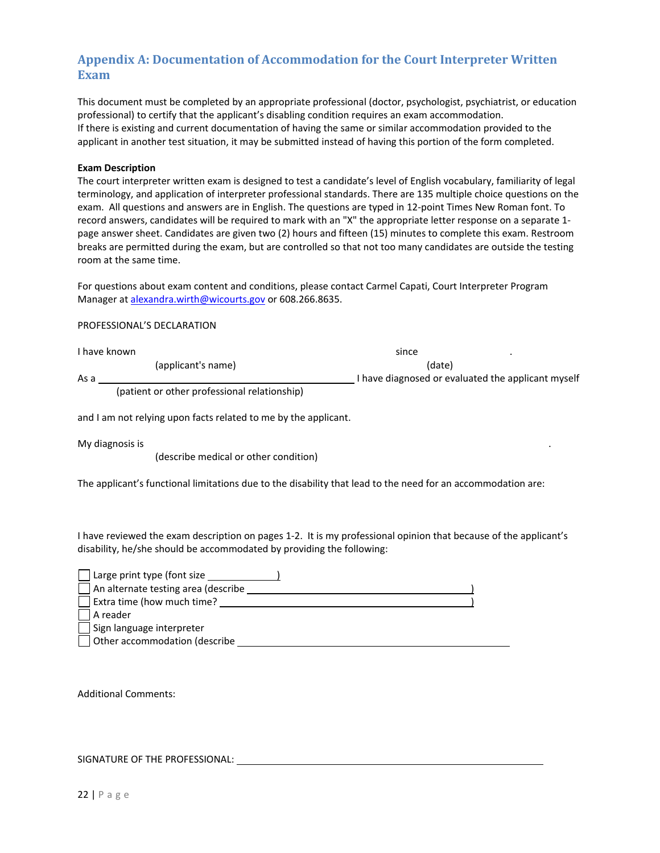## <span id="page-22-0"></span>**Appendix A: Documentation of Accommodation for the Court Interpreter Written Exam**

This document must be completed by an appropriate professional (doctor, psychologist, psychiatrist, or education professional) to certify that the applicant's disabling condition requires an exam accommodation. If there is existing and current documentation of having the same or similar accommodation provided to the applicant in another test situation, it may be submitted instead of having this portion of the form completed.

#### **Exam Description**

The court interpreter written exam is designed to test a candidate's level of English vocabulary, familiarity of legal terminology, and application of interpreter professional standards. There are 135 multiple choice questions on the exam. All questions and answers are in English. The questions are typed in 12-point Times New Roman font. To record answers, candidates will be required to mark with an "X" the appropriate letter response on a separate 1 page answer sheet. Candidates are given two (2) hours and fifteen (15) minutes to complete this exam. Restroom breaks are permitted during the exam, but are controlled so that not too many candidates are outside the testing room at the same time.

For questions about exam content and conditions, please contact Carmel Capati, Court Interpreter Program Manager a[t alexandra.wirth@wicourts.gov](mailto:alexandra.wirth@wicourts.gov) or 608.266.8635.

#### PROFESSIONAL'S DECLARATION

| I have known |                                              | since                                              |  |
|--------------|----------------------------------------------|----------------------------------------------------|--|
|              | (applicant's name)                           | (date)                                             |  |
| As a         |                                              | I have diagnosed or evaluated the applicant myself |  |
|              | (patient or other professional relationship) |                                                    |  |

and I am not relying upon facts related to me by the applicant.

My diagnosis is

(describe medical or other condition)

The applicant's functional limitations due to the disability that lead to the need for an accommodation are:

I have reviewed the exam description on pages 1-2. It is my professional opinion that because of the applicant's disability, he/she should be accommodated by providing the following:

| $\Box$ Large print type (font size         |  |
|--------------------------------------------|--|
| $\Box$ An alternate testing area (describe |  |
| $\Box$ Extra time (how much time?          |  |
| A reader                                   |  |
| Sign language interpreter                  |  |
| Other accommodation (describe              |  |

Additional Comments:

#### SIGNATURE OF THE PROFESSIONAL: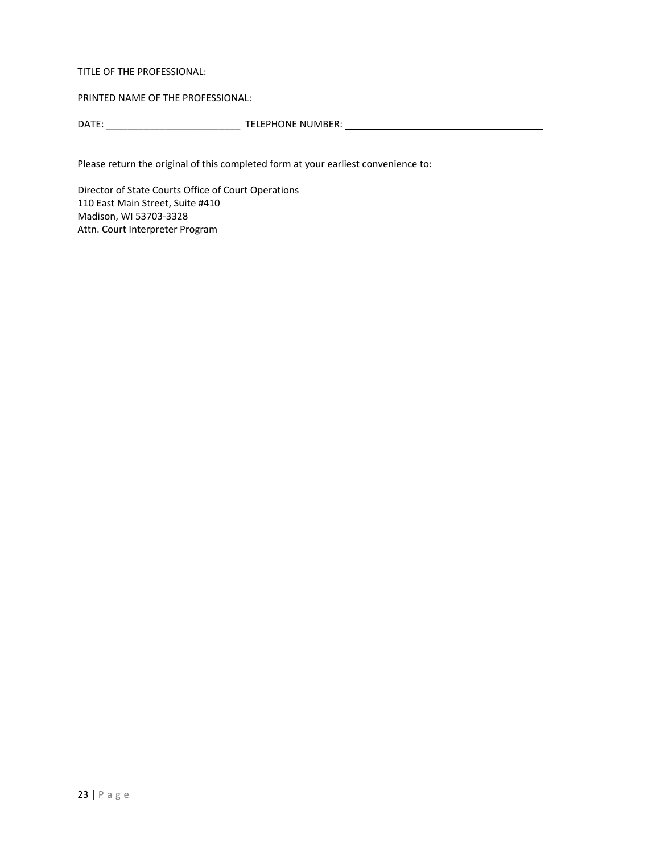TITLE OF THE PROFESSIONAL: <u>And the substitution of the protest of the state of the state of the state of the state of the state of the state of the state of the state of the state of the state of the state of the state of</u>

PRINTED NAME OF THE PROFESSIONAL: **We are also assessed that the property of the property of the property of the state of the property of the state of the state of the state of the state of the state of the state of the st** 

DATE: \_\_\_\_\_\_\_\_\_\_\_\_\_\_\_\_\_\_\_\_\_\_\_\_\_ TELEPHONE NUMBER:

Please return the original of this completed form at your earliest convenience to:

Director of State Courts Office of Court Operations 110 East Main Street, Suite #410 Madison, WI 53703-3328 Attn. Court Interpreter Program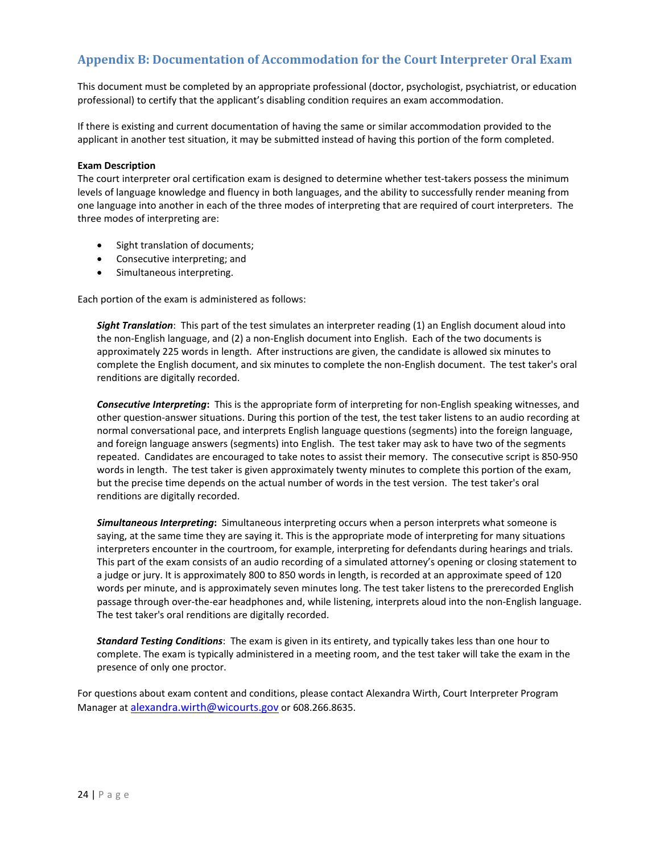## <span id="page-24-0"></span>**Appendix B: Documentation of Accommodation for the Court Interpreter Oral Exam**

This document must be completed by an appropriate professional (doctor, psychologist, psychiatrist, or education professional) to certify that the applicant's disabling condition requires an exam accommodation.

If there is existing and current documentation of having the same or similar accommodation provided to the applicant in another test situation, it may be submitted instead of having this portion of the form completed.

#### **Exam Description**

The court interpreter oral certification exam is designed to determine whether test-takers possess the minimum levels of language knowledge and fluency in both languages, and the ability to successfully render meaning from one language into another in each of the three modes of interpreting that are required of court interpreters. The three modes of interpreting are:

- Sight translation of documents;
- Consecutive interpreting; and
- Simultaneous interpreting.

Each portion of the exam is administered as follows:

*Sight Translation*: This part of the test simulates an interpreter reading (1) an English document aloud into the non-English language, and (2) a non-English document into English. Each of the two documents is approximately 225 words in length. After instructions are given, the candidate is allowed six minutes to complete the English document, and six minutes to complete the non-English document. The test taker's oral renditions are digitally recorded.

*Consecutive Interpreting***:** This is the appropriate form of interpreting for non-English speaking witnesses, and other question-answer situations. During this portion of the test, the test taker listens to an audio recording at normal conversational pace, and interprets English language questions (segments) into the foreign language, and foreign language answers (segments) into English. The test taker may ask to have two of the segments repeated. Candidates are encouraged to take notes to assist their memory. The consecutive script is 850-950 words in length. The test taker is given approximately twenty minutes to complete this portion of the exam, but the precise time depends on the actual number of words in the test version. The test taker's oral renditions are digitally recorded.

*Simultaneous Interpreting***:** Simultaneous interpreting occurs when a person interprets what someone is saying, at the same time they are saying it. This is the appropriate mode of interpreting for many situations interpreters encounter in the courtroom, for example, interpreting for defendants during hearings and trials. This part of the exam consists of an audio recording of a simulated attorney's opening or closing statement to a judge or jury. It is approximately 800 to 850 words in length, is recorded at an approximate speed of 120 words per minute, and is approximately seven minutes long. The test taker listens to the prerecorded English passage through over-the-ear headphones and, while listening, interprets aloud into the non-English language. The test taker's oral renditions are digitally recorded.

*Standard Testing Conditions*: The exam is given in its entirety, and typically takes less than one hour to complete. The exam is typically administered in a meeting room, and the test taker will take the exam in the presence of only one proctor.

For questions about exam content and conditions, please contact Alexandra Wirth, Court Interpreter Program Manager at [alexandra.wirth@wicourts.gov](mailto:carmel.capati@wicourts.gov) or 608.266.8635.